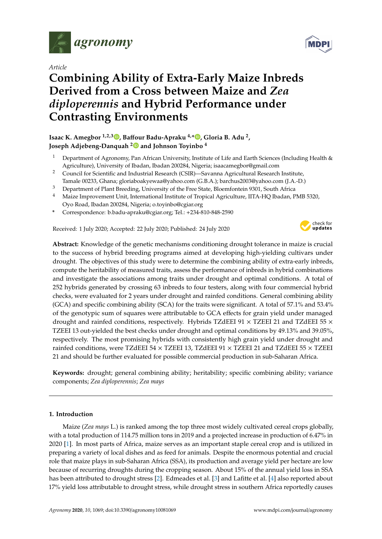

*Article*

# **Combining Ability of Extra-Early Maize Inbreds Derived from a Cross between Maize and** *Zea diploperennis* **and Hybrid Performance under Contrasting Environments**

## **Isaac K. Amegbor 1,2,3 [,](https://orcid.org/0000-0002-6134-5534) Ba**ff**our Badu-Apraku 4,[\\*](https://orcid.org/0000-0003-0113-5487) , Gloria B. Adu <sup>2</sup> , Joseph Adjebeng-Danquah [2](https://orcid.org/0000-0002-9472-0636) and Johnson Toyinbo <sup>4</sup>**

- <sup>1</sup> Department of Agronomy, Pan African University, Institute of Life and Earth Sciences (Including Health & Agriculture), University of Ibadan, Ibadan 200284, Nigeria; isaacamegbor@gmail.com
- <sup>2</sup> Council for Scientific and Industrial Research (CSIR)—Savanna Agricultural Research Institute,
- Tamale 00233, Ghana; gloriaboakyewaa@yahoo.com (G.B.A.); barchus2003@yahoo.com (J.A.-D.) <sup>3</sup> Department of Plant Breeding, University of the Free State, Bloemfontein 9301, South Africa
- <sup>4</sup> Maize Improvement Unit, International Institute of Tropical Agriculture, IITA-HQ Ibadan, PMB 5320, Oyo Road, Ibadan 200284, Nigeria; o.toyinbo@cgiar.org
- **\*** Correspondence: b.badu-apraku@cgiar.org; Tel.: +234-810-848-2590

Received: 1 July 2020; Accepted: 22 July 2020; Published: 24 July 2020



**Abstract:** Knowledge of the genetic mechanisms conditioning drought tolerance in maize is crucial to the success of hybrid breeding programs aimed at developing high-yielding cultivars under drought. The objectives of this study were to determine the combining ability of extra-early inbreds, compute the heritability of measured traits, assess the performance of inbreds in hybrid combinations and investigate the associations among traits under drought and optimal conditions. A total of 252 hybrids generated by crossing 63 inbreds to four testers, along with four commercial hybrid checks, were evaluated for 2 years under drought and rainfed conditions. General combining ability (GCA) and specific combining ability (SCA) for the traits were significant. A total of 57.1% and 53.4% of the genotypic sum of squares were attributable to GCA effects for grain yield under managed drought and rainfed conditions, respectively. Hybrids TZdEEI 91  $\times$  TZEEI 21 and TZdEEI 55  $\times$ TZEEI 13 out-yielded the best checks under drought and optimal conditions by 49.13% and 39.05%, respectively. The most promising hybrids with consistently high grain yield under drought and rainfed conditions, were TZdEEI 54 × TZEEI 13, TZdEEI 91 × TZEEI 21 and TZdEEI 55 × TZEEI 21 and should be further evaluated for possible commercial production in sub-Saharan Africa.

**Keywords:** drought; general combining ability; heritability; specific combining ability; variance components; *Zea diploperennis*; *Zea mays*

## **1. Introduction**

Maize (*Zea mays* L.) is ranked among the top three most widely cultivated cereal crops globally, with a total production of 114.75 million tons in 2019 and a projected increase in production of 6.47% in 2020 [\[1\]](#page-15-0). In most parts of Africa, maize serves as an important staple cereal crop and is utilized in preparing a variety of local dishes and as feed for animals. Despite the enormous potential and crucial role that maize plays in sub-Saharan Africa (SSA), its production and average yield per hectare are low because of recurring droughts during the cropping season. About 15% of the annual yield loss in SSA has been attributed to drought stress [\[2\]](#page-15-1). Edmeades et al. [\[3\]](#page-15-2) and Lafitte et al. [\[4\]](#page-15-3) also reported about 17% yield loss attributable to drought stress, while drought stress in southern Africa reportedly causes

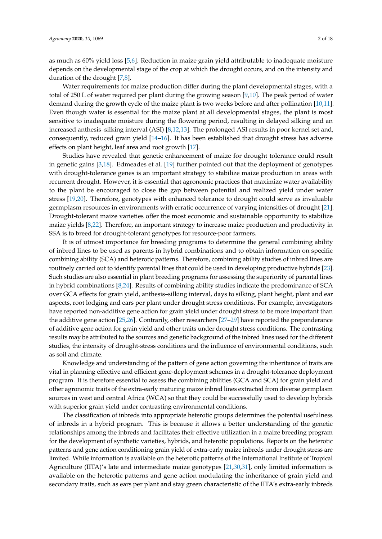as much as 60% yield loss [\[5,](#page-15-4)[6\]](#page-15-5). Reduction in maize grain yield attributable to inadequate moisture depends on the developmental stage of the crop at which the drought occurs, and on the intensity and duration of the drought [\[7,](#page-15-6)[8\]](#page-15-7).

Water requirements for maize production differ during the plant developmental stages, with a total of 250 L of water required per plant during the growing season [\[9](#page-15-8)[,10\]](#page-15-9). The peak period of water demand during the growth cycle of the maize plant is two weeks before and after pollination [\[10,](#page-15-9)[11\]](#page-15-10). Even though water is essential for the maize plant at all developmental stages, the plant is most sensitive to inadequate moisture during the flowering period, resulting in delayed silking and an increased anthesis–silking interval (ASI) [\[8,](#page-15-7)[12,](#page-15-11)[13\]](#page-15-12). The prolonged ASI results in poor kernel set and, consequently, reduced grain yield [\[14–](#page-16-0)[16\]](#page-16-1). It has been established that drought stress has adverse effects on plant height, leaf area and root growth [\[17\]](#page-16-2).

Studies have revealed that genetic enhancement of maize for drought tolerance could result in genetic gains [\[3](#page-15-2)[,18\]](#page-16-3). Edmeades et al. [\[19\]](#page-16-4) further pointed out that the deployment of genotypes with drought-tolerance genes is an important strategy to stabilize maize production in areas with recurrent drought. However, it is essential that agronomic practices that maximize water availability to the plant be encouraged to close the gap between potential and realized yield under water stress [\[19](#page-16-4)[,20\]](#page-16-5). Therefore, genotypes with enhanced tolerance to drought could serve as invaluable germplasm resources in environments with erratic occurrence of varying intensities of drought [\[21\]](#page-16-6). Drought-tolerant maize varieties offer the most economic and sustainable opportunity to stabilize maize yields [\[8,](#page-15-7)[22\]](#page-16-7). Therefore, an important strategy to increase maize production and productivity in SSA is to breed for drought-tolerant genotypes for resource-poor farmers.

It is of utmost importance for breeding programs to determine the general combining ability of inbred lines to be used as parents in hybrid combinations and to obtain information on specific combining ability (SCA) and heterotic patterns. Therefore, combining ability studies of inbred lines are routinely carried out to identify parental lines that could be used in developing productive hybrids [\[23\]](#page-16-8). Such studies are also essential in plant breeding programs for assessing the superiority of parental lines in hybrid combinations [\[8,](#page-15-7)[24\]](#page-16-9). Results of combining ability studies indicate the predominance of SCA over GCA effects for grain yield, anthesis–silking interval, days to silking, plant height, plant and ear aspects, root lodging and ears per plant under drought stress conditions. For example, investigators have reported non-additive gene action for grain yield under drought stress to be more important than the additive gene action [\[25](#page-16-10)[,26\]](#page-16-11). Contrarily, other researchers [\[27](#page-16-12)[–29\]](#page-16-13) have reported the preponderance of additive gene action for grain yield and other traits under drought stress conditions. The contrasting results may be attributed to the sources and genetic background of the inbred lines used for the different studies, the intensity of drought-stress conditions and the influence of environmental conditions, such as soil and climate.

Knowledge and understanding of the pattern of gene action governing the inheritance of traits are vital in planning effective and efficient gene-deployment schemes in a drought-tolerance deployment program. It is therefore essential to assess the combining abilities (GCA and SCA) for grain yield and other agronomic traits of the extra-early maturing maize inbred lines extracted from diverse germplasm sources in west and central Africa (WCA) so that they could be successfully used to develop hybrids with superior grain yield under contrasting environmental conditions.

The classification of inbreds into appropriate heterotic groups determines the potential usefulness of inbreds in a hybrid program. This is because it allows a better understanding of the genetic relationships among the inbreds and facilitates their effective utilization in a maize breeding program for the development of synthetic varieties, hybrids, and heterotic populations. Reports on the heterotic patterns and gene action conditioning grain yield of extra-early maize inbreds under drought stress are limited. While information is available on the heterotic patterns of the International Institute of Tropical Agriculture (IITA)'s late and intermediate maize genotypes [\[21](#page-16-6)[,30](#page-16-14)[,31\]](#page-16-15), only limited information is available on the heterotic patterns and gene action modulating the inheritance of grain yield and secondary traits, such as ears per plant and stay green characteristic of the IITA's extra-early inbreds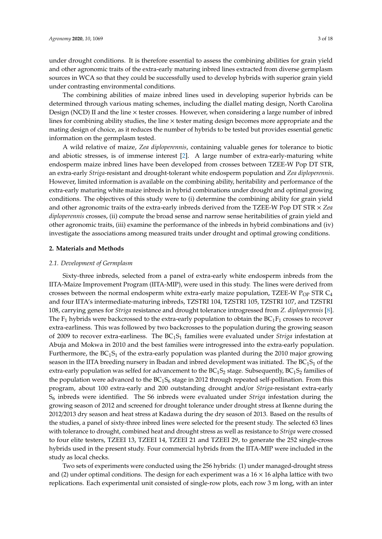under drought conditions. It is therefore essential to assess the combining abilities for grain yield and other agronomic traits of the extra-early maturing inbred lines extracted from diverse germplasm sources in WCA so that they could be successfully used to develop hybrids with superior grain yield under contrasting environmental conditions.

The combining abilities of maize inbred lines used in developing superior hybrids can be determined through various mating schemes, including the diallel mating design, North Carolina Design (NCD) II and the line  $\times$  tester crosses. However, when considering a large number of inbred lines for combining ability studies, the line × tester mating design becomes more appropriate and the mating design of choice, as it reduces the number of hybrids to be tested but provides essential genetic information on the germplasm tested.

A wild relative of maize, *Zea diploperennis*, containing valuable genes for tolerance to biotic and abiotic stresses, is of immense interest [\[2\]](#page-15-1). A large number of extra-early-maturing white endosperm maize inbred lines have been developed from crosses between TZEE-W Pop DT STR, an extra-early *Striga*-resistant and drought-tolerant white endosperm population and *Zea diploperennis*. However, limited information is available on the combining ability, heritability and performance of the extra-early maturing white maize inbreds in hybrid combinations under drought and optimal growing conditions. The objectives of this study were to (i) determine the combining ability for grain yield and other agronomic traits of the extra-early inbreds derived from the TZEE-W Pop DT STR × *Zea diploperennis* crosses, (ii) compute the broad sense and narrow sense heritabilities of grain yield and other agronomic traits, (iii) examine the performance of the inbreds in hybrid combinations and (iv) investigate the associations among measured traits under drought and optimal growing conditions.

## **2. Materials and Methods**

### *2.1. Development of Germplasm*

Sixty-three inbreds, selected from a panel of extra-early white endosperm inbreds from the IITA-Maize Improvement Program (IITA-MIP), were used in this study. The lines were derived from crosses between the normal endosperm white extra-early maize population, TZEE-W  $P_{OP}$  STR  $C_4$ and four IITA's intermediate-maturing inbreds, TZSTRI 104, TZSTRI 105, TZSTRI 107, and TZSTRI 108, carrying genes for *Striga* resistance and drought tolerance introgressed from *Z. diploperennis* [\[8\]](#page-15-7). The  $F_1$  hybrids were backcrossed to the extra-early population to obtain the  $BC_1F_1$  crosses to recover extra-earliness. This was followed by two backcrosses to the population during the growing season of 2009 to recover extra-earliness. The BC1S<sup>1</sup> families were evaluated under *Striga* infestation at Abuja and Mokwa in 2010 and the best families were introgressed into the extra-early population. Furthermore, the  $BC_1S_1$  of the extra-early population was planted during the 2010 major growing season in the IITA breeding nursery in Ibadan and inbred development was initiated. The  $BC<sub>1</sub>S<sub>1</sub>$  of the extra-early population was selfed for advancement to the  $BC_1S_2$  stage. Subsequently,  $BC_1S_2$  families of the population were advanced to the  $BC_1S_6$  stage in 2012 through repeated self-pollination. From this program, about 100 extra-early and 200 outstanding drought and/or *Striga*-resistant extra-early S<sup>6</sup> inbreds were identified. The S6 inbreds were evaluated under *Striga* infestation during the growing season of 2012 and screened for drought tolerance under drought stress at Ikenne during the 2012/2013 dry season and heat stress at Kadawa during the dry season of 2013. Based on the results of the studies, a panel of sixty-three inbred lines were selected for the present study. The selected 63 lines with tolerance to drought, combined heat and drought stress as well as resistance to *Striga* were crossed to four elite testers, TZEEI 13, TZEEI 14, TZEEI 21 and TZEEI 29, to generate the 252 single-cross hybrids used in the present study. Four commercial hybrids from the IITA-MIP were included in the study as local checks.

Two sets of experiments were conducted using the 256 hybrids: (1) under managed-drought stress and (2) under optimal conditions. The design for each experiment was a  $16 \times 16$  alpha lattice with two replications. Each experimental unit consisted of single-row plots, each row 3 m long, with an inter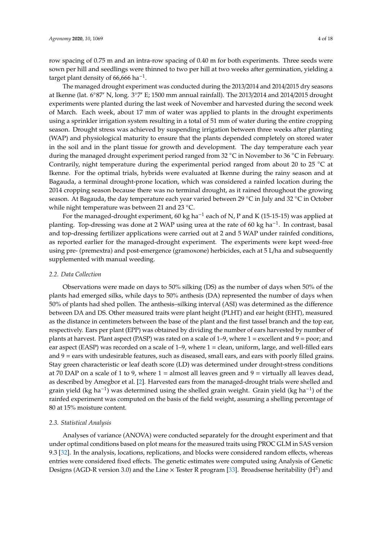row spacing of 0.75 m and an intra-row spacing of 0.40 m for both experiments. Three seeds were sown per hill and seedlings were thinned to two per hill at two weeks after germination, yielding a target plant density of  $66,666$  ha<sup>-1</sup>.

The managed drought experiment was conducted during the 2013/2014 and 2014/2015 dry seasons at Ikenne (lat. 6°87' N, long. 3°7' E; 1500 mm annual rainfall). The 2013/2014 and 2014/2015 drought experiments were planted during the last week of November and harvested during the second week of March. Each week, about 17 mm of water was applied to plants in the drought experiments using a sprinkler irrigation system resulting in a total of 51 mm of water during the entire cropping season. Drought stress was achieved by suspending irrigation between three weeks after planting (WAP) and physiological maturity to ensure that the plants depended completely on stored water in the soil and in the plant tissue for growth and development. The day temperature each year during the managed drought experiment period ranged from 32 ◦C in November to 36 ◦C in February. Contrarily, night temperature during the experimental period ranged from about 20 to 25  $°C$  at Ikenne. For the optimal trials, hybrids were evaluated at Ikenne during the rainy season and at Bagauda, a terminal drought-prone location, which was considered a rainfed location during the 2014 cropping season because there was no terminal drought, as it rained throughout the growing season. At Bagauda, the day temperature each year varied between 29 °C in July and 32 °C in October while night temperature was between 21 and 23 ◦C.

For the managed-drought experiment, 60 kg ha−<sup>1</sup> each of N, P and K (15-15-15) was applied at planting. Top-dressing was done at 2 WAP using urea at the rate of 60 kg ha<sup>-1</sup>. In contrast, basal and top-dressing fertilizer applications were carried out at 2 and 5 WAP under rainfed conditions, as reported earlier for the managed-drought experiment. The experiments were kept weed-free using pre- (premextra) and post-emergence (gramoxone) herbicides, each at 5 L/ha and subsequently supplemented with manual weeding.

#### *2.2. Data Collection*

Observations were made on days to 50% silking (DS) as the number of days when 50% of the plants had emerged silks, while days to 50% anthesis (DA) represented the number of days when 50% of plants had shed pollen. The anthesis–silking interval (ASI) was determined as the difference between DA and DS. Other measured traits were plant height (PLHT) and ear height (EHT), measured as the distance in centimeters between the base of the plant and the first tassel branch and the top ear, respectively. Ears per plant (EPP) was obtained by dividing the number of ears harvested by number of plants at harvest. Plant aspect (PASP) was rated on a scale of 1–9, where 1 = excellent and 9 = poor; and ear aspect (EASP) was recorded on a scale of 1–9, where 1 = clean, uniform, large, and well-filled ears and  $9$  = ears with undesirable features, such as diseased, small ears, and ears with poorly filled grains. Stay green characteristic or leaf death score (LD) was determined under drought-stress conditions at 70 DAP on a scale of 1 to 9, where  $1 =$  almost all leaves green and  $9 =$  virtually all leaves dead, as described by Amegbor et al. [\[2\]](#page-15-1). Harvested ears from the managed-drought trials were shelled and grain yield (kg ha<sup>-1</sup>) was determined using the shelled grain weight. Grain yield (kg ha<sup>-1</sup>) of the rainfed experiment was computed on the basis of the field weight, assuming a shelling percentage of 80 at 15% moisture content.

## *2.3. Statistical Analysis*

Analyses of variance (ANOVA) were conducted separately for the drought experiment and that under optimal conditions based on plot means for the measured traits using PROC GLM in SAS version 9.3 [\[32\]](#page-16-16). In the analysis, locations, replications, and blocks were considered random effects, whereas entries were considered fixed effects. The genetic estimates were computed using Analysis of Genetic Designs (AGD-R version 3.0) and the Line  $\times$  Tester R program [\[33\]](#page-16-17). Broadsense heritability (H<sup>2</sup>) and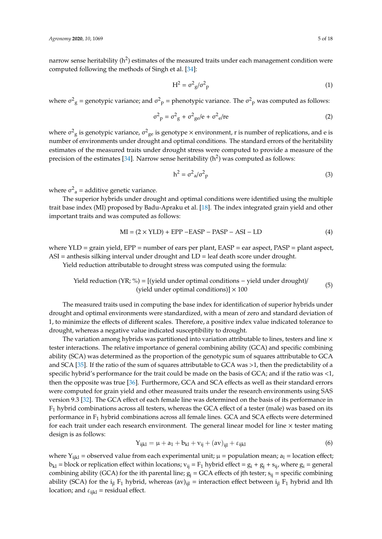narrow sense heritability (h<sup>2</sup>) estimates of the measured traits under each management condition were computed following the methods of Singh et al. [\[34\]](#page-16-18):

$$
H^2 = \sigma^2 g / \sigma^2 p \tag{1}
$$

where  $\sigma_{\rm g}^2$  = genotypic variance; and  $\sigma_{\rm p}^2$  = phenotypic variance. The  $\sigma_{\rm p}^2$  was computed as follows:

$$
\sigma^2 \mathbf{p} = \sigma^2 \mathbf{g} + \sigma^2 \mathbf{g} e / \mathbf{e} + \sigma^2 \mathbf{e} / \mathbf{r} \mathbf{e}
$$
 (2)

where  $\sigma_{\rm g}^2$  is genotypic variance,  $\sigma_{\rm ge}^2$  is genotype  $\times$  environment, r is number of replications, and e is number of environments under drought and optimal conditions. The standard errors of the heritability estimates of the measured traits under drought stress were computed to provide a measure of the precision of the estimates [\[34\]](#page-16-18). Narrow sense heritability (h<sup>2</sup>) was computed as follows:

$$
h^2 = \sigma^2_a / \sigma^2_p \tag{3}
$$

where  $\sigma^2$ <sub>a</sub> = additive genetic variance.

The superior hybrids under drought and optimal conditions were identified using the multiple trait base index (MI) proposed by Badu-Apraku et al. [\[18\]](#page-16-3). The index integrated grain yield and other important traits and was computed as follows:

$$
MI = (2 \times YLD) + EPP - EASP - PASP - ASI - LD
$$
\n(4)

where YLD = grain yield, EPP = number of ears per plant, EASP = ear aspect, PASP = plant aspect,  $ASI =$  anthesis silking interval under drought and  $LD =$  leaf death score under drought.

Yield reduction attributable to drought stress was computed using the formula:

Yield reduction (YR; %) = [(yield under optimal conditions – yield under drought)/(yield under optimal conditions)] 
$$
\times
$$
 100  $(5)$ 

The measured traits used in computing the base index for identification of superior hybrids under drought and optimal environments were standardized, with a mean of zero and standard deviation of 1, to minimize the effects of different scales. Therefore, a positive index value indicated tolerance to drought, whereas a negative value indicated susceptibility to drought.

The variation among hybrids was partitioned into variation attributable to lines, testers and line  $\times$ tester interactions. The relative importance of general combining ability (GCA) and specific combining ability (SCA) was determined as the proportion of the genotypic sum of squares attributable to GCA and SCA [\[35\]](#page-16-19). If the ratio of the sum of squares attributable to GCA was >1, then the predictability of a specific hybrid's performance for the trait could be made on the basis of GCA; and if the ratio was <1, then the opposite was true [\[36\]](#page-16-20). Furthermore, GCA and SCA effects as well as their standard errors were computed for grain yield and other measured traits under the research environments using SAS version 9.3 [\[32\]](#page-16-16). The GCA effect of each female line was determined on the basis of its performance in  $F_1$  hybrid combinations across all testers, whereas the GCA effect of a tester (male) was based on its performance in  $F_1$  hybrid combinations across all female lines. GCA and SCA effects were determined for each trait under each research environment. The general linear model for line  $\times$  tester mating design is as follows:

$$
Y_{ijkl} = \mu + a_1 + b_{kl} + v_{ij} + (av)_{ijl} + \varepsilon_{ijkl}
$$
 (6)

where Y<sub>ijkl</sub> = observed value from each experimental unit;  $\mu$  = population mean;  $a_1$  = location effect;  $b_{kl}$  = block or replication effect within locations;  $v_{ij} = F_1$  hybrid effect =  $g_i + g_j + s_{ij}$ , where  $g_i$  = general combining ability (GCA) for the ith parental line;  $g_i = GCA$  effects of jth tester;  $s_{ii}$  = specific combining ability (SCA) for the  $i_{il} F_1$  hybrid, whereas (av)<sub>iil</sub> = interaction effect between  $i_{il} F_1$  hybrid and lth location; and  $\varepsilon_{ijkl}$  = residual effect.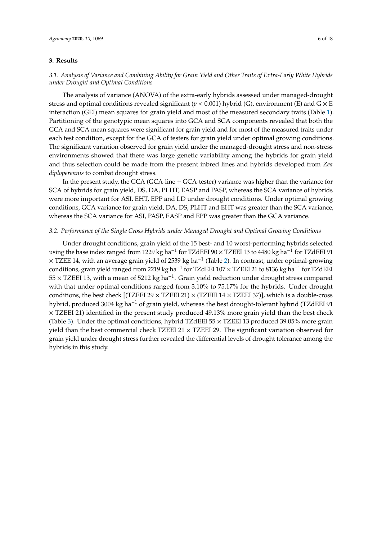## **3. Results**

## *3.1. Analysis of Variance and Combining Ability for Grain Yield and Other Traits of Extra-Early White Hybrids under Drought and Optimal Conditions*

The analysis of variance (ANOVA) of the extra-early hybrids assessed under managed-drought stress and optimal conditions revealed significant ( $p < 0.001$ ) hybrid (G), environment (E) and G  $\times$  E interaction (GEI) mean squares for grain yield and most of the measured secondary traits (Table [1\)](#page-6-0). Partitioning of the genotypic mean squares into GCA and SCA components revealed that both the GCA and SCA mean squares were significant for grain yield and for most of the measured traits under each test condition, except for the GCA of testers for grain yield under optimal growing conditions. The significant variation observed for grain yield under the managed-drought stress and non-stress environments showed that there was large genetic variability among the hybrids for grain yield and thus selection could be made from the present inbred lines and hybrids developed from *Zea diploperennis* to combat drought stress.

In the present study, the GCA (GCA-line + GCA-tester) variance was higher than the variance for SCA of hybrids for grain yield, DS, DA, PLHT, EASP and PASP, whereas the SCA variance of hybrids were more important for ASI, EHT, EPP and LD under drought conditions. Under optimal growing conditions, GCA variance for grain yield, DA, DS, PLHT and EHT was greater than the SCA variance, whereas the SCA variance for ASI, PASP, EASP and EPP was greater than the GCA variance.

#### *3.2. Performance of the Single Cross Hybrids under Managed Drought and Optimal Growing Conditions*

Under drought conditions, grain yield of the 15 best- and 10 worst-performing hybrids selected using the base index ranged from 1229 kg ha<sup>-1</sup> for TZdEEI 90 × TZEEI 13 to 4480 kg ha<sup>-1</sup> for TZdEEI 91 × TZEE 14, with an average grain yield of 2539 kg ha−<sup>1</sup> (Table [2\)](#page-7-0). In contrast, under optimal-growing conditions, grain yield ranged from 2219 kg ha−<sup>1</sup> for TZdEEI 107 × TZEEI 21 to 8136 kg ha−<sup>1</sup> for TZdEEI 55 × TZEEI 13, with a mean of 5212 kg ha−<sup>1</sup> . Grain yield reduction under drought stress compared with that under optimal conditions ranged from 3.10% to 75.17% for the hybrids. Under drought conditions, the best check  $[(TZEE1 29 \times TZEE1 21) \times (TZEE1 14 \times TZEE1 37)]$ , which is a double-cross hybrid, produced 3004 kg ha<sup>-1</sup> of grain yield, whereas the best drought-tolerant hybrid (TZdEEI 91  $\times$  TZEEI 21) identified in the present study produced 49.13% more grain yield than the best check (Table [3\)](#page-8-0). Under the optimal conditions, hybrid TZdEEI 55 × TZEEI 13 produced 39.05% more grain yield than the best commercial check TZEEI  $21 \times$  TZEEI 29. The significant variation observed for grain yield under drought stress further revealed the differential levels of drought tolerance among the hybrids in this study.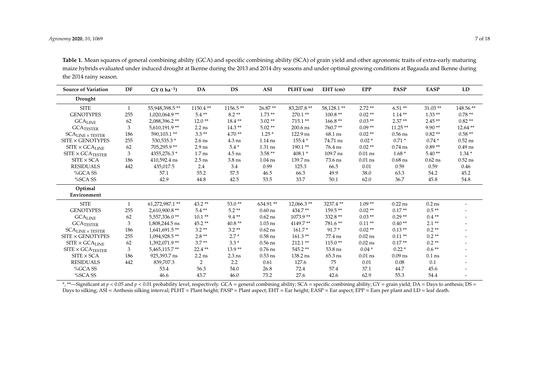| <b>Source of Variation</b>                          | DF           | $GY(t ha^{-1})$ | DA                | <b>DS</b>  | <b>ASI</b> | PLHT (cm)  | EHT (cm)   | <b>EPP</b> | <b>PASP</b> | <b>EASP</b> | LD        |
|-----------------------------------------------------|--------------|-----------------|-------------------|------------|------------|------------|------------|------------|-------------|-------------|-----------|
| Drought                                             |              |                 |                   |            |            |            |            |            |             |             |           |
| <b>SITE</b>                                         | 1            | 55,948,398.5**  | 1150.4**          | $1156.5**$ | 26.87**    | 83,207.8** | 58,128.1** | $2.72**$   | $6.51**$    | $31.03**$   | 148.56**  |
| <b>GENOTYPES</b>                                    | 255          | 1,020,064.9**   | $5.4**$           | $8.2**$    | $1.73**$   | $270.1**$  | $100.8**$  | $0.02**$   | $1.14**$    | $1.33**$    | $0.78**$  |
| $\rm GCA_{LINE}$                                    | 62           | 2,088,396.2**   | $12.0**$          | $18.4**$   | $3.02**$   | 715.1**    | $166.8**$  | $0.03**$   | $2.37**$    | $2.45**$    | $0.82**$  |
| $\text{GCA}_{\text{TESTER}}$                        | 3            | 5,610,191.9**   | $2.2$ ns          | $14.3**$   | $5.02**$   | 200.6 ns   | 760.7**    | $0.09**$   | $11.25**$   | $9.90**$    | 12.64**   |
| $\text{SCA}_{\text{LINE}}\times \text{TESTER}$      | 186          | 590,103.1**     | $3.3**$           | $4.70**$   | $1.25*$    | 122.9 ns   | 68.1 ns    | $0.02**$   | $0.56$ ns   | $0.82**$    | $0.58**$  |
| SITE × GENOTYPES                                    | 255          | 530,535.3 *     | $2.6$ ns          | $4.3$ ns   | $1.14$ ns  | 155.4 *    | 74.71 ns   | $0.02*$    | $0.71*$     | $0.74*$     | $0.52$ ns |
| $\mathrm{SITE} \times \mathrm{GCA}_{\mathrm{LINE}}$ | 62           | 705,295.9**     | $2.9$ ns          | $5.4\,$ *  | 1.31 ns    | $190.1**$  | 76.4 ns    | $0.02**$   | $0.74$ ns   | $0.89**$    | $0.49$ ns |
| $SITE \times GCA$ TESTER                            | 3            | 4355,276.3 *    | 1.7 <sub>ns</sub> | $4.5$ ns   | $3.58**$   | $408.1*$   | 109.7 ns   | $0.01$ ns  | $1.68*$     | $5.40**$    | $1.34*$   |
| $SITE \times SCA$                                   | 186          | 410,592.4 ns    | $2.5$ ns          | $3.8$ ns   |            | 139.7 ns   | 73.6 ns    | $0.01$ ns  | $0.68$ ns   | $0.62$ ns   | $0.52$ ns |
|                                                     |              |                 |                   |            | $1.04$ ns  |            |            |            |             |             |           |
| <b>RESIDUALS</b>                                    | 442          | 435,017.5       | 2.4               | 3.4        | 0.99       | 125.3      | 66.5       | 0.01       | 0.59        | 0.59        | 0.46      |
| %GCA SS                                             |              | 57.1            | 55.2              | 57.5       | 46.5       | 66.3       | 49.9       | 38.0       | 63.3        | 54.2        | 45.2      |
| %SCA SS                                             |              | 42.9            | 44.8              | 42.5       | 53.5       | 33.7       | 50.1       | 62.0       | 36.7        | 45.8        | 54.8      |
| Optimal<br>Environment                              |              |                 |                   |            |            |            |            |            |             |             |           |
|                                                     |              |                 |                   |            |            |            |            |            |             |             |           |
| <b>SITE</b>                                         | $\mathbf{1}$ | 61,272,987.1**  | $43.2**$          | $53.0**$   | 634.91**   | 12,066.3** | 3237.4**   | $1.09**$   | $0.22$ ns   | $0.2$ ns    |           |
| <b>GENOTYPES</b>                                    | 255          | 2,610,900.8**   | $5.4**$           | $5.2**$    | $0.60$ ns  | 434.7**    | 159.5**    | $0.02**$   | $0.17**$    | $0.5**$     |           |
| $\rm GCA_{LINE}$                                    | 62           | 5,557,336.0**   | $10.1**$          | $9.4**$    | $0.62$ ns  | $1073.9**$ | 332.8 **   | $0.03**$   | $0.29**$    | $0.4**$     |           |
| $\rm GCA_{TESTER}$                                  | 3            | 1,808,244.5 ns  | $45.2**$          | $40.8**$   | $1.03$ ns  | 4149.7**   | 781.6**    | $0.11**$   | $0.40**$    | $2.1**$     |           |
| $\text{SCA}_{\text{LINE}}\times \text{TESTER}$      | 186          | 1,641,691.5**   | $3.2**$           | $3.2**$    | $0.62$ ns  | $161.7*$   | $91.7*$    | $0.02**$   | $0.13**$    | $0.2**$     |           |
| SITE × GENOTYPES                                    | 255          | 1,094,928.5**   | $2.8**$           | $2.7*$     | $0.58$ ns  | $161.3**$  | 77.4 ns    | $0.02$ ns  | $0.11**$    | $0.2**$     |           |
| $\mathrm{SITE} \times \mathrm{GCA}_{\mathrm{LINE}}$ | 62           | 1,392,071.9**   | $3.7**$           | $3.3*$     | $0.56$ ns  | 212.1**    | $115.0**$  | $0.02$ ns  | $0.17**$    | $0.2**$     |           |
| $SITE \times GCA$ TESTER                            | 3            | 5,465,115.7**   | 22.4**            | $13.9**$   | $0.76$ ns  | 545.2**    | 53.8 ns    | $0.04*$    | $0.22*$     | $0.6**$     |           |
| $SITE \times SCA$                                   | 186          | 925,393.7 ns    | $2.2$ ns          | $2.3$ ns   | $0.53$ ns  | 138.2 ns   | $65.3$ ns  | $0.01$ ns  | $0.09$ ns   | $0.1$ ns    |           |
| <b>RESIDUALS</b>                                    | 442          | 839,707.3       | $\overline{2}$    | 2.2        | 0.61       | 127.6      | 75         | 0.01       | 0.08        | 0.1         |           |
| %GCA SS                                             |              | 53.4            | 56.3              | 54.0       | 26.8       | 72.4       | 57.4       | 37.1       | 44.7        | 45.6        |           |
| %SCA SS                                             |              | 46.6            | 43.7              | 46.0       | 73.2       | 27.6       | 42.6       | 62.9       | 55.3        | 54.4        |           |

**Table 1.** Mean squares of general combining ability (GCA) and specific combining ability (SCA) of grain yield and other agronomic traits of extra-early maturing maize hybrids evaluated under induced drought at Ikenne during the 2013 and 2014 dry seasons and under optimal growing conditions at Bagauda and Ikenne during the 2014 rainy season.

<span id="page-6-0"></span>\*, \*\*—Significant at *p* < 0.05 and *p* < 0.01 probability level, respectively. GCA = general combining ability; SCA = specific combining ability; GY = grain yield; DA = Days to anthesis; DS = Days to silking; ASI = Anthesis silking interval; PLHT = Plant height; PASP = Plant aspect; EHT = Ear height; EASP = Ear aspect; EPP = Ears per plant and LD = leaf death.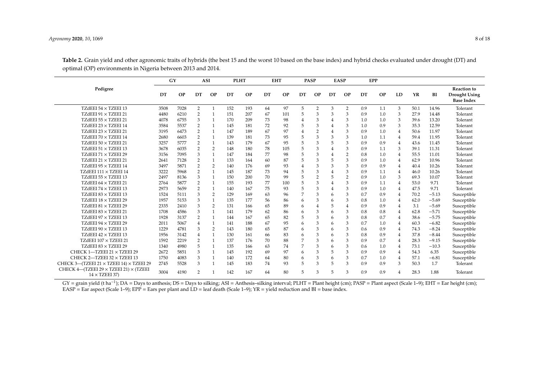|                                                                              | GY   |           | <b>ASI</b>     |                |     | <b>PLHT</b> |    | <b>EHT</b> |    | <b>PASP</b>    |    | <b>EASP</b>    |     | <b>EPP</b> |                |      |         |                                                                 |
|------------------------------------------------------------------------------|------|-----------|----------------|----------------|-----|-------------|----|------------|----|----------------|----|----------------|-----|------------|----------------|------|---------|-----------------------------------------------------------------|
| Pedigree                                                                     | DT   | <b>OP</b> | DT             | <b>OP</b>      | DT  | <b>OP</b>   | DT | <b>OP</b>  | DT | <b>OP</b>      | DT | <b>OP</b>      | DT  | <b>OP</b>  | LD             | YR   | BI      | <b>Reaction to</b><br><b>Drought Using</b><br><b>Base Index</b> |
| TZdEEI 54 $\times$ TZEEI 13                                                  | 3508 | 7028      | $\overline{2}$ |                | 152 | 193         | 64 | 97         | 5  | $\overline{2}$ | 3  | 2              | 0.9 | 1.1        | 3              | 50.1 | 14.96   | Tolerant                                                        |
| TZdEEI 91 × TZEEI 21                                                         | 4480 | 6210      | $\overline{2}$ |                | 151 | 207         | 67 | 101        | 5  |                | 3  | 3              | 0.9 | 1.0        | 3              | 27.9 | 14.48   | Tolerant                                                        |
| TZdEEI $55 \times$ TZEEI 21                                                  | 4078 | 6755      | 3              |                | 170 | 209         | 73 | 98         | 4  | 3              |    | 3              | 1.0 | 1.0        | 3              | 39.6 | 13.20   | Tolerant                                                        |
| TZdEEI $23 \times$ TZEEI 14                                                  | 3584 | 5537      | $\overline{2}$ |                | 145 | 181         | 72 | 92         | 5  | 3              |    | 3              | 1.0 | 0.9        | 3              | 35.3 | 12.59   | Tolerant                                                        |
| TZdEEI $23 \times$ TZEEI 21                                                  | 3195 | 6473      | $\overline{2}$ |                | 147 | 189         | 67 | 97         |    | $\overline{2}$ |    | 3              | 0.9 | 1.0        | $\overline{4}$ | 50.6 | 11.97   | Tolerant                                                        |
| TZdEEI 70 $\times$ TZEEI 14                                                  | 2680 | 6603      | $\overline{2}$ |                | 139 | 181         | 73 | 95         | 5  | 3              | 3  | 3              | 1.0 | 1.1        | $\overline{4}$ | 59.4 | 11.95   | Tolerant                                                        |
| TZdEEI $50 \times$ TZEEI 21                                                  | 3257 | 5777      | $\overline{2}$ |                | 143 | 179         | 67 | 95         | 5  | 3              |    | 3              | 0.9 | 0.9        | $\overline{4}$ | 43.6 | 11.45   | Tolerant                                                        |
| TZdEEI 51 $\times$ TZEEI 13                                                  | 3678 | 6035      | $\overline{2}$ | 2              | 148 | 180         | 78 | 105        | 5  | 3              |    | 3              | 0.9 | 1.1        | 3              | 39.1 | 11.31   | Tolerant                                                        |
| TZdEEI 71 × TZEEI 29                                                         | 3156 | 7095      | 3              |                | 147 | 184         | 77 | 98         | 5  |                |    | $\overline{2}$ | 0.8 | 1.0        | 4              | 55.5 | 11.01   | Tolerant                                                        |
| TZdEEI $21 \times$ TZEEI 21                                                  | 2641 | 7128      | $\overline{2}$ |                | 133 | 164         | 60 | 87         | 5  |                |    | 3              | 0.9 | 1.0        | 4              | 62.9 | 10.96   | Tolerant                                                        |
| TZdEEI 95 $\times$ TZEEI 14                                                  | 3497 | 5871      | $\overline{2}$ | 2              | 140 | 176         | 69 | 93         |    | 3              |    | 3              | 0.9 | 0.9        | 4              | 40.4 | 10.26   | Tolerant                                                        |
| TZdEEI $111 \times$ TZEEI 14                                                 | 3222 | 5968      | $\overline{2}$ |                | 145 | 187         | 73 | 94         | 5  |                |    | 3              | 0.9 | 1.1        | $\overline{4}$ | 46.0 | 10.26   | Tolerant                                                        |
| TZdEEI $55 \times$ TZEEI 13                                                  | 2497 | 8136      | 3              | $\mathbf{1}$   | 150 | 200         | 70 | 99         | 5  | 2              |    | $\overline{2}$ | 0.9 | 1.0        | 3              | 69.3 | 10.07   | Tolerant                                                        |
| TZdEEI 64 × TZEEI 21                                                         | 2764 | 5877      | $\overline{2}$ | $\mathbf{1}$   | 155 | 193         | 77 | 100        | 5  | 3              |    | 3              | 0.9 | 1.1        | $\overline{4}$ | 53.0 | 9.71    | Tolerant                                                        |
| TZdEEI 74 × TZEEI 13                                                         | 2973 | 5659      | $\overline{2}$ | $\overline{1}$ | 140 | 167         | 75 | 93         | 5  | 3              | 4  | 3              | 0.9 | 1.0        | 4              | 47.5 | 9.71    | Tolerant                                                        |
| TZdEEI $83 \times$ TZEEI 13                                                  | 1524 | 5111      | 3              | 2              | 129 | 169         | 63 | 96         | 7  | 3              | 6  | 3              | 0.7 | 0.9        | 4              | 70.2 | $-5.13$ | Susceptible                                                     |
| TZdEEI $18 \times$ TZEEI 29                                                  | 1957 | 5153      | 3              |                | 135 | 177         | 56 | 86         | 6  | 3              | 6  | 3              | 0.8 | 1.0        | 4              | 62.0 | $-5.69$ | Susceptible                                                     |
| TZdEEI $81 \times$ TZEEI 29                                                  | 2335 | 2410      | 3              | 2              | 131 | 166         | 65 | 89         | 6  |                | 5  | $\overline{4}$ | 0.9 | 0.9        | 4              | 3.1  | $-5.69$ | Susceptible                                                     |
| TZdEEI $83 \times$ TZEEI 21                                                  | 1708 | 4586      | 3              |                | 141 | 179         | 62 | 86         | 6  | 3              | 6  | 3              | 0.8 | 0.8        | 4              | 62.8 | $-5.71$ | Susceptible                                                     |
| TZdEEI 97 $\times$ TZEEI 13                                                  | 1928 | 3137      | $\overline{2}$ |                | 144 | 167         | 65 | 82         | 5  | 3              | 6  | 3              | 0.8 | 0.7        | 4              | 38.6 | $-5.75$ | Susceptible                                                     |
| TZdEEI 94 × TZEEI 29                                                         | 2011 | 5067      | $\overline{4}$ |                | 141 | 188         | 67 | 95         | 6  | 3              | 6  | 3              | 0.7 | 1.0        | 4              | 60.3 | $-6.82$ | Susceptible                                                     |
| TZdEEI $90 \times$ TZEEI 13                                                  | 1229 | 4781      | 3              | 2              | 143 | 180         | 65 | 87         | 6  | 3              | 6  | 3              | 0.6 | 0.9        | 4              | 74.3 | $-8.24$ | Susceptible                                                     |
| TZdEEI $42 \times$ TZEEI 13                                                  | 1956 | 3142      | 4              | $\mathbf{1}$   | 130 | 161         | 66 | 83         | 6  | 3              | 6  | 3              | 0.8 | 0.9        | 4              | 37.8 | $-8.44$ | Susceptible                                                     |
| TZdEEI 107 × TZEEI 21                                                        | 1592 | 2219      | $\overline{2}$ |                | 137 | 176         | 70 | 88         | 7  | 3              | 6  | 3              | 0.9 | 0.7        | 4              | 28.3 | $-9.15$ | Susceptible                                                     |
| TZdEEI $83 \times$ TZEEI 29                                                  | 1340 | 4980      | 5              |                | 135 | 166         | 63 | 74         | 7  | 3              | 6  | 3              | 0.6 | 1.0        | 4              | 73.1 | $-10.3$ | Susceptible                                                     |
| CHECK 1-TZEEI 21 × TZEEI 29                                                  | 2672 | 5851      | 3              |                | 145 | 192         | 69 | 97         | 6  | 3              | 5  | 3              | 0.9 | 0.9        | 4              | 54.3 | 6.35    | Susceptible                                                     |
| CHECK 2-TZEEI 32 × TZEEI 13                                                  | 1750 | 4083      | 3              |                | 140 | 172         | 64 | 80         | 6  | 3              | 6  | 3              | 0.7 | 1.0        | 4              | 57.1 | $-6.81$ | Susceptible                                                     |
| CHECK 3-(TZEEI 21 × TZEEI 14) × TZEEI 29                                     | 2745 | 5528      | 3              |                | 145 | 183         | 74 | 93         | 5  | 3              | 5  | 3              | 0.9 | 0.9        | 3              | 50.3 | 1.7     | Tolerant                                                        |
| CHECK 4- $(TZEEI 29 \times TZEEI 21) \times (TZEEI$<br>$14 \times$ TZEEI 37) | 3004 | 4190      | C              |                | 142 | 167         | 64 | 80         | 5  | 3              | 5  | 3              | 0.9 | 0.9        |                | 28.3 | 1.88    | Tolerant                                                        |

Table 2. Grain yield and other agronomic traits of hybrids (the best 15 and the worst 10 based on the base index) and hybrid checks evaluated under drought (DT) and optimal (OP) environments in Nigeria between 2013 and 2014.

<span id="page-7-0"></span>GY = grain yield (t ha<sup>-1</sup>); DA = Days to anthesis; DS = Days to silking; ASI = Anthesis-silking interval; PLHT = Plant height (cm); PASP = Plant aspect (Scale 1–9); EHT = Ear height (cm); EASP = Ear aspect (Scale 1–9); EPP = Ears per plant and LD = leaf death (Scale 1–9);  $YR =$  yield reduction and BI = base index.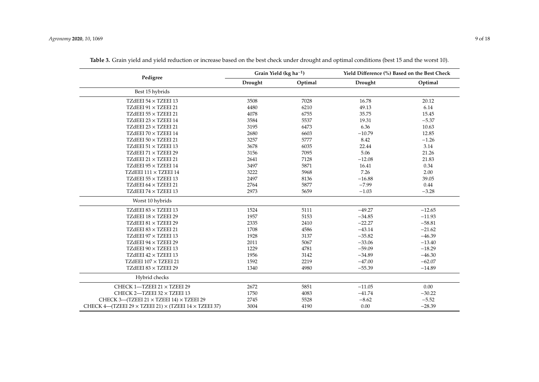<span id="page-8-0"></span>

|                                                                           | Grain Yield ( $kg$ ha <sup>-1</sup> ) |         |          | Yield Difference (%) Based on the Best Check |
|---------------------------------------------------------------------------|---------------------------------------|---------|----------|----------------------------------------------|
| Pedigree                                                                  | Drought                               | Optimal | Drought  | Optimal                                      |
| Best 15 hybrids                                                           |                                       |         |          |                                              |
| TZdEEI 54 × TZEEI 13                                                      | 3508                                  | 7028    | 16.78    | 20.12                                        |
| TZdEEI 91 × TZEEI 21                                                      | 4480                                  | 6210    | 49.13    | 6.14                                         |
| TZdEEI 55 × TZEEI 21                                                      | 4078                                  | 6755    | 35.75    | 15.45                                        |
| TZdEEI 23 $\times$ TZEEI 14                                               | 3584                                  | 5537    | 19.31    | $-5.37$                                      |
| TZdEEI 23 $\times$ TZEEI 21                                               | 3195                                  | 6473    | 6.36     | 10.63                                        |
| TZdEEI 70 $\times$ TZEEI 14                                               | 2680                                  | 6603    | $-10.79$ | 12.85                                        |
| TZdEEI $50 \times$ TZEEI 21                                               | 3257                                  | 5777    | 8.42     | $-1.26$                                      |
| TZdEEI 51 $\times$ TZEEI 13                                               | 3678                                  | 6035    | 22.44    | 3.14                                         |
| TZdEEI 71 $\times$ TZEEI 29                                               | 3156                                  | 7095    | 5.06     | 21.26                                        |
| TZdEEI 21 $\times$ TZEEI 21                                               | 2641                                  | 7128    | $-12.08$ | 21.83                                        |
| TZdEEI 95 × TZEEI 14                                                      | 3497                                  | 5871    | 16.41    | 0.34                                         |
| TZdEEI $111 \times$ TZEEI 14                                              | 3222                                  | 5968    | 7.26     | 2.00                                         |
| TZdEEI $55 \times$ TZEEI 13                                               | 2497                                  | 8136    | $-16.88$ | 39.05                                        |
| TZdEEI 64 × TZEEI 21                                                      | 2764                                  | 5877    | $-7.99$  | 0.44                                         |
| TZdEEI 74 × TZEEI 13                                                      | 2973                                  | 5659    | $-1.03$  | $-3.28$                                      |
| Worst 10 hybrids                                                          |                                       |         |          |                                              |
| TZdEEI 83 $\times$ TZEEI 13                                               | 1524                                  | 5111    | $-49.27$ | $-12.65$                                     |
| TZdEEI 18 × TZEEI 29                                                      | 1957                                  | 5153    | $-34.85$ | $-11.93$                                     |
| TZdEEI 81 × TZEEI 29                                                      | 2335                                  | 2410    | $-22.27$ | $-58.81$                                     |
| TZdEEI 83 $\times$ TZEEI 21                                               | 1708                                  | 4586    | $-43.14$ | $-21.62$                                     |
| TZdEEI 97 $\times$ TZEEI 13                                               | 1928                                  | 3137    | $-35.82$ | $-46.39$                                     |
| TZdEEI 94 $\times$ TZEEI 29                                               | 2011                                  | 5067    | $-33.06$ | $-13.40$                                     |
| TZdEEI $90 \times$ TZEEI 13                                               | 1229                                  | 4781    | $-59.09$ | $-18.29$                                     |
| TZdEEI $42 \times$ TZEEI 13                                               | 1956                                  | 3142    | $-34.89$ | $-46.30$                                     |
| TZdEEI 107 × TZEEI 21                                                     | 1592                                  | 2219    | $-47.00$ | $-62.07$                                     |
| TZdEEI 83 $\times$ TZEEI 29                                               | 1340                                  | 4980    | $-55.39$ | $-14.89$                                     |
| Hybrid checks                                                             |                                       |         |          |                                              |
| CHECK 1-TZEEI 21 × TZEEI 29                                               | 2672                                  | 5851    | $-11.05$ | $0.00\,$                                     |
| CHECK 2-TZEEI 32 × TZEEI 13                                               | 1750                                  | 4083    | $-41.74$ | $-30.22$                                     |
| CHECK 3-(TZEEI 21 × TZEEI 14) × TZEEI 29                                  | 2745                                  | 5528    | $-8.62$  | $-5.52$                                      |
| CHECK 4-TZEEI 29 $\times$ TZEEI 21) $\times$ (TZEEI 14 $\times$ TZEEI 37) | 3004                                  | 4190    | 0.00     | $-28.39$                                     |

**Table 3.** Grain yield and yield reduction or increase based on the best check under drought and optimal conditions (best 15 and the worst 10).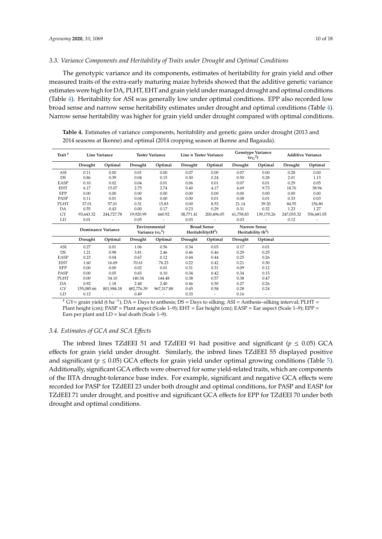## *3.3. Variance Components and Heritability of Traits under Drought and Optimal Conditions*

The genotypic variance and its components, estimates of heritability for grain yield and other measured traits of the extra-early maturing maize hybrids showed that the additive genetic variance estimates were high for DA, PLHT, EHT and grain yield under managed drought and optimal conditions (Table [4\)](#page-9-0). Heritability for ASI was generally low under optimal conditions. EPP also recorded low broad sense and narrow sense heritability estimates under drought and optimal conditions (Table [4\)](#page-9-0). Narrow sense heritability was higher for grain yield under drought compared with optimal conditions.

<span id="page-9-0"></span>**Table 4.** Estimates of variance components, heritability and genetic gains under drought (2013 and 2014 seasons at Ikenne) and optimal (2014 cropping season at Ikenne and Bagauda).

| Trait <sup>+</sup> |                           | <b>Line Variance</b> |            | <b>Tester Variance</b>                   |           | Line × Tester Variance                    |           | Genotype Variance<br>$(\sigma_G^2)$         |            | <b>Additive Variance</b> |
|--------------------|---------------------------|----------------------|------------|------------------------------------------|-----------|-------------------------------------------|-----------|---------------------------------------------|------------|--------------------------|
|                    | Drought                   | Optimal              | Drought    | Optimal                                  | Drought   | Optimal                                   | Drought   | Optimal                                     | Drought    | Optimal                  |
| ASI                | 0.11                      | 0.00                 | 0.01       | 0.00                                     | 0.07      | 0.00                                      | 0.07      | 0.00                                        | 0.28       | 0.00                     |
| <b>DS</b>          | 0.86                      | 0.39                 | 0.04       | 0.15                                     | 0.30      | 0.24                                      | 0.50      | 0.28                                        | 2.01       | 1.13                     |
| <b>EASP</b>        | 0.10                      | 0.02                 | 0.04       | 0.01                                     | 0.06      | 0.01                                      | 0.07      | 0.01                                        | 0.29       | 0.05                     |
| <b>EHT</b>         | 6.17                      | 15.07                | 2.75       | 2.74                                     | 0.40      | 4.17                                      | 4.69      | 9.73                                        | 18.76      | 38.94                    |
| EPP                | 0.00                      | 0.00                 | 0.00       | 0.00                                     | 0.00      | 0.00                                      | 0.00      | 0.00                                        | 0.00       | 0.00                     |
| PASP               | 0.11                      | 0.01                 | 0.04       | 0.00                                     | 0.00      | 0.01                                      | 0.08      | 0.01                                        | 0.33       | 0.03                     |
| PLHT               | 37.01                     | 57.01                | 0.31       | 15.83                                    | 0.00      | 8.53                                      | 21.14     | 39.20                                       | 84.55      | 156.80                   |
| DA                 | 0.55                      | 0.43                 | 0.00       | 0.17                                     | 0.23      | 0.29                                      | 0.31      | 0.32                                        | 1.23       | 1.27                     |
| GY                 | 93,643.32                 | 244,727.78           | 19,920.99  | 660.92                                   | 38.771.41 | 200.496.05                                | 61.758.83 | 139.170.26                                  | 247,035.32 | 556,681.05               |
| LD                 | 0.01                      |                      | 0.05       |                                          | 0.03      |                                           | 0.03      |                                             | 0.12       |                          |
|                    | <b>Dominance Variance</b> |                      |            |                                          |           |                                           |           |                                             |            |                          |
|                    |                           |                      |            | Environmental<br>Variance $(\sigma_e^2)$ |           | <b>Broad Sense</b><br>Heritability $(H2)$ |           | <b>Narrow Sense</b><br>Heritability $(h^2)$ |            |                          |
|                    | Drought                   | Optimal              | Drought    | Optimal                                  | Drought   | Optimal                                   | Drought   | Optimal                                     |            |                          |
| ASI                | 0.27                      | 0.01                 | 1.06       | 0.56                                     | 0.34      | 0.03                                      | 0.17      | 0.01                                        |            |                          |
| DS                 | 1.21                      | 0.98                 | 3.81       | 2.46                                     | 0.46      | 0.46                                      | 0.29      | 0.25                                        |            |                          |
| EASP               | 0.23                      | 0.04                 | 0.67       | 0.12                                     | 0.44      | 0.44                                      | 0.25      | 0.26                                        |            |                          |
| <b>EHT</b>         | 1.60                      | 16.69                | 70.61      | 76.23                                    | 0.22      | 0.42                                      | 0.21      | 0.30                                        |            |                          |
| EPP                | 0.00                      | 0.00                 | 0.02       | 0.01                                     | 0.31      | 0.31                                      | 0.09      | 0.12                                        |            |                          |
| PASP               | 0.00                      | 0.05                 | 0.65       | 0.10                                     | 0.34      | 0.42                                      | 0.34      | 0.15                                        |            |                          |
| PLHT               | 0.00                      | 34.10                | 140.34     | 144.48                                   | 0.38      | 0.57                                      | 0.38      | 0.47                                        |            |                          |
| DA                 | 0.92                      | 1.18                 | 2.48       | 2.40                                     | 0.46      | 0.50                                      | 0.27      | 0.26                                        |            |                          |
| GY                 | 155,085.66                | 801.984.18           | 482,776.39 | 967,317.88                               | 0.45      | 0.58                                      | 0.28      | 0.24                                        |            |                          |

<sup>†</sup> GY= grain yield (t ha<sup>-1</sup>); DA = Days to anthesis; DS = Days to silking; ASI = Anthesis–silking interval; PLHT = Plant height (cm); PASP = Plant aspect (Scale 1–9); EHT = Ear height (cm); EASP = Ear aspect (Scale 1–9); EPP = Ears per plant and  $LD =$  leaf death (Scale 1–9).

## *3.4. Estimates of GCA and SCA E*ff*ects*

The inbred lines TZdEEI 51 and TZdEEI 91 had positive and significant ( $p \leq 0.05$ ) GCA effects for grain yield under drought. Similarly, the inbred lines TZdEEI 55 displayed positive and significant ( $p \le 0.05$ ) GCA effects for grain yield under optimal growing conditions (Table [5\)](#page-11-0). Additionally, significant GCA effects were observed for some yield-related traits, which are components of the IITA drought-tolerance base index. For example, significant and negative GCA effects were recorded for PASP for TZdEEI 23 under both drought and optimal conditions, for PASP and EASP for TZdEEI 71 under drought, and positive and significant GCA effects for EPP for TZdEEI 70 under both drought and optimal conditions.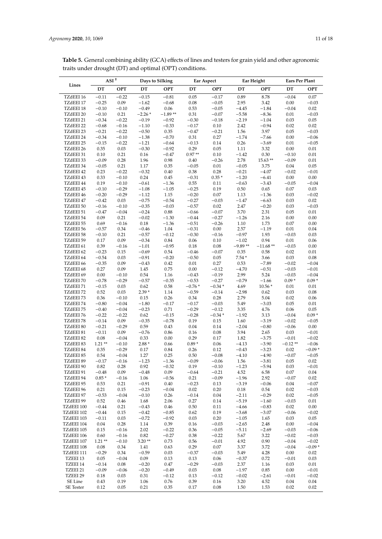| A CT T                                                                                                           | Dave to Silking | Far Aspect | Far Height | Fare Por Plant |
|------------------------------------------------------------------------------------------------------------------|-----------------|------------|------------|----------------|
| traits under drought (DT) and optimal (OPT) conditions.                                                          |                 |            |            |                |
| <b>Table 5.</b> General combining ability (GCA) effects of lines and testers for grain yield and other agronomic |                 |            |            |                |

|            |          | $\mathbf{ASI}$ $^\dagger$ |          | Days to Silking |          | Ear Aspect | Ear Height |            | Ears Per Plant |            |
|------------|----------|---------------------------|----------|-----------------|----------|------------|------------|------------|----------------|------------|
| Lines      | DT       | <b>OPT</b>                | $DT$     | <b>OPT</b>      | DT       | <b>OPT</b> | DT         | <b>OPT</b> | DT             | <b>OPT</b> |
| TZdEEI 16  | $-0.11$  | $-0.22$                   | $-0.15$  | $-0.81$         | 0.05     | $-0.17$    | 0.89       | 8.78       | $-0.04$        | 0.07       |
| TZdEEI 17  | $-0.25$  | 0.09                      | $-1.62$  | $-0.68$         | $0.08\,$ | $-0.05$    | 2.95       | 3.42       | 0.00           | $-0.03$    |
| TZdEEI 18  | $-0.10$  | $-0.10$                   | $-0.49$  | 0.06            | 0.53     | $-0.05$    | $-4.45$    | $-1.84$    | $-0.04$        | 0.02       |
| TZdEEI 20  | $-0.10$  | 0.21                      | $-2.26*$ | $-1.89**$       | 0.31     | $-0.07$    | $-5.58$    | $-8.36$    | 0.01           | $-0.03$    |
| TZdEEI 21  | $-0.34$  | $-0.22$                   | $-0.19$  | $-0.92$         | $-0.30$  | $-0.18$    | $-2.19$    | $-1.04$    | 0.03           | 0.05       |
| TZdEEI 22  | $-0.68$  | $-0.16$                   | $-1.10$  | $-0.33$         | $-0.17$  | 0.10       | 2.42       | $-0.94$    | 0.02           | 0.02       |
| TZdEEI 23  | $-0.21$  | $-0.22$                   | $-0.50$  | 0.35            | $-0.47$  | $-0.21$    | 1.56       | 3.97       | 0.05           | $-0.03$    |
| TZdEEI 24  | $-0.34$  | $-0.10$                   | $-1.38$  | $-0.70$         | 0.31     | 0.27       | $-1.74$    | $-7.66$    | 0.00           | $-0.06$    |
| TZdEEI 25  | $-0.15$  | $-0.22$                   | $-1.21$  | $-0.64$         | $-0.13$  | 0.14       | 0.26       | $-3.69$    | 0.01           | $-0.05$    |
| TZdEEI 26  | 0.35     | 0.03                      | $-0.30$  | $-0.92$         | 0.29     | 0.05       | 1.11       | 3.32       | 0.00           | $0.01\,$   |
| TZdEEI 31  | 0.10     | 0.21                      | 0.16     | $-0.47$         | $0.97**$ | 0.10       | $-1.42$    | 0.30       | $-0.10$        | 0.01       |
| TZdEEI 33  | $-0.09$  | 0.28                      | 1.96     | 0.98            | 0.40     | $-0.26$    | 2.78       | $15.63**$  | $-0.09$        | $0.01\,$   |
| TZdEEI 34  | $-0.05$  | 0.21                      | 1.17     | 0.35            | $-0.05$  | 0.01       | $-0.05$    | 3.75       | 0.04           | 0.05       |
| TZdEEI 42  | 0.23     | $-0.22$                   | $-0.32$  | 0.40            | 0.38     | 0.28       | $-0.21$    | $-4.07$    | $-0.02$        | $-0.01$    |
|            |          |                           | 0.24     |                 |          | $0.35*$    |            |            |                | $0.00\,$   |
| TZdEEI 43  | 0.33     | $-0.10$                   |          | 0.45            | $-0.31$  |            | $-1.20$    | $-6.41$    | 0.00           |            |
| TZdEEI 44  | 0.19     | $-0.10$                   | $-0.61$  | $-1.36$         | 0.55     | 0.11       | $-0.63$    | $-3.43$    | $-0.05$        | $-0.04$    |
| TZdEEI 45  | $-0.10$  | $-0.29$                   | $-1.08$  | $-1.05$         | $-0.25$  | 0.19       | $0.50\,$   | 0.65       | 0.07           | 0.03       |
| TZdEEI 46  | $-0.20$  | $-0.29$                   | $-1.12$  | 1.15            | $-0.20$  | $0.07\,$   | 1.13       | $-1.36$    | 0.03           | $-0.02$    |
| TZdEEI 47  | $-0.42$  | 0.03                      | $-0.75$  | $-0.54$         | $-0.27$  | $-0.03$    | $-1.47$    | $-6.63$    | 0.03           | 0.02       |
| TZdEEI 50  | $-0.16$  | $-0.10$                   | $-0.35$  | $-0.03$         | $-0.57$  | 0.02       | 2.47       | $-0.20$    | 0.03           | $-0.03$    |
| TZdEEI 51  | $-0.47$  | $-0.04$                   | $-0.24$  | 0.88            | $-0.66$  | $-0.07$    | 3.70       | 2.31       | 0.05           | $0.01\,$   |
| TZdEEI 54  | 0.09     | 0.21                      | $-0.02$  | $-1.30$         | $-0.44$  | $-0.27$    | $-1.26$    | 2.16       | 0.00           | 0.00       |
| TZdEEI 55  | 0.69     | $-0.16$                   | 0.18     | $-1.36$         | $-0.51$  | $-0.26$    | 1.10       | 1.73       | 0.07           | 0.00       |
| TZdEEI 56  | $-0.57$  | 0.34                      | $-0.46$  | 1.04            | $-0.31$  | $0.00\,$   | 2.57       | $-1.19$    | 0.01           | 0.04       |
| TZdEEI 58  | $-0.10$  | 0.21                      | $-0.57$  | $-0.12$         | $-0.30$  | $-0.16$    | $-0.97$    | 1.93       | $-0.03$        | 0.03       |
| TZdEEI 59  | 0.17     | 0.09                      | $-0.34$  | 0.84            | 0.06     | $0.10\,$   | $-1.02$    | 0.94       | 0.01           | 0.06       |
| TZdEEI 61  | 0.39     | $-0.16$                   | $-1.01$  | $-0.95$         | 0.18     | $0.08\,$   | $-9.89**$  | $-11.68**$ | $-0.03$        | 0.00       |
| TZdEEI 62  | $-0.23$  | 0.15                      | $-0.69$  | 0.54            | $-0.46$  | $-0.07$    | 0.35       | 0.58       | 0.02           | $0.01\,$   |
| TZdEEI 64  | $-0.54$  | 0.03                      | $-0.91$  | $-0.20$         | $-0.50$  | 0.05       | $7.54*$    | 3.66       | 0.03           | 0.08       |
| TZdEEI 66  | $-0.35$  | 0.09                      | $-0.43$  | 0.42            | $0.01\,$ | 0.27       | 0.53       | $-7.89$    | $-0.02$        | $-0.04$    |
| TZdEEI 68  | 0.27     | 0.09                      | 1.45     | 0.75            | $0.00\,$ | $-0.12$    | $-4.70$    | $-0.51$    | $-0.03$        | $-0.01$    |
| TZdEEI 69  | 0.00     | $-0.10$                   | 0.54     | 1.16            | $-0.43$  | $-0.19$    | 2.99       | 5.24       | $-0.03$        | $-0.04$    |
| TZdEEI 70  | $-0.78$  | $-0.29$                   | $-0.57$  | $-0.35$         | $-0.53$  | $-0.27$    | $-0.79$    | $-1.66$    | $0.09*$        | $0.09*$    |
| TZdEEI 71  | $-0.15$  | 0.03                      | 0.62     | 0.58            | $-0.76*$ | $-0.34*$   | 4.69       | $10.56*$   | 0.01           | 0.01       |
| TZdEEI 72  | 0.52     | 0.03                      | $2.39*$  | 1.14            | $-0.59$  | $-0.14$    | $-2.98$    | 0.62       | 0.03           | 0.08       |
|            |          |                           |          |                 |          |            |            |            |                |            |
| TZdEEI 73  | 0.36     | $-0.10$                   | 0.15     | 0.26            | 0.34     | 0.28       | 2.79       | 5.04       | 0.02           | 0.06       |
| TZdEEI 74  | $-0.80$  | $-0.04$                   | $-1.80$  | $-0.17$         | $-0.17$  | $-0.03$    | 5.49       | $-3.03$    | 0.05           | $0.01\,$   |
| TZdEEI 75  | $-0.40$  | $-0.04$                   | $-0.23$  | 0.71            | $-0.29$  | $-0.12$    | 3.35       | 4.76       | 0.06           | 0.05       |
| TZdEEI 76  | $-0.22$  | $-0.22$                   | 0.62     | $-0.15$         | $-0.28$  | $-0.34*$   | $-1.92$    | 3.13       | $-0.04$        | $0.09*$    |
| TZdEEI 78  | $-0.14$  | 0.09                      | $-0.35$  | $-0.78$         | 0.19     | 0.15       | 1.60       | $-3.19$    | $-0.02$        | $-0.05$    |
| TZdEEI 80  | $-0.21$  | $-0.29$                   | 0.59     | 0.43            | 0.04     | 0.14       | $-2.04$    | $-0.80$    | $-0.06$        | 0.00       |
| TZdEEI 81  | $-0.11$  | 0.09                      | $-0.76$  | 0.86            | 0.16     | 0.08       | 3.94       | 2.65       | 0.03           | $-0.01$    |
| TZdEEI 82  | $0.08\,$ | $-0.04$                   | 0.33     | 0.00            | 0.29     | 0.17       | 1.82       | $-3.75$    | $-0.01$        | $-0.02$    |
| TZdEEI 83  | $1.21**$ | $-0.10$                   | $2.88*$  | 0.66            | $0.89*$  | 0.06       | $-4.13$    | $-3.90$    | $-0.12**$      | $-0.06$    |
| TZdEEI 84  | 0.35     | $-0.29$                   | 0.17     | 0.84            | 0.26     | 0.12       | $-0.43$    | $-3.23$    | 0.02           | $-0.09*$   |
| TZdEEI 85  | 0.54     | $-0.04$                   | 1.27     | 0.25            | 0.50     | $-0.08$    | $-4.10$    | $-4.90$    | $-0.07$        | $-0.05$    |
| TZdEEI 89  | $-0.17$  | $-0.16$                   | $-1.23$  | $-1.36$         | $-0.09$  | $-0.06$    | 1.56       | $-3.81$    | 0.05           | 0.02       |
| TZdEEI 90  | 0.82     | 0.28                      | 0.92     | $-0.32$         | 0.19     | $-0.10$    | $-1.23$    | $-5.94$    | 0.03           | $-0.01$    |
| TZdEEI 91  | $-0.48$  | 0.09                      | $-0.48$  | 0.09            | $-0.64$  | $-0.21$    | 4.52       | 6.58       | 0.07           | 0.04       |
| TZdEEI 94  | $0.85*$  | $-0.16$                   | 1.06     | $-0.56$         | 0.21     | $-0.09$    | $-1.96$    | 2.92       | $-0.07$        | 0.02       |
| TZdEEI 95  | 0.53     | 0.21                      | $-0.91$  | 0.40            | $-0.23$  | 0.13       | $-3.19$    | $-0.06$    | 0.04           | $-0.07$    |
| TZdEEI 96  | 0.21     | 0.15                      | $-0.23$  | $-0.04$         | 0.02     | 0.20       | 0.18       | 0.54       | 0.02           | $-0.03$    |
| TZdEEI 97  | $-0.53$  | $-0.04$                   | $-0.10$  | 0.26            | $-0.14$  | 0.04       | $-2.11$    | $-0.29$    | 0.02           | $-0.05$    |
| TZdEEI 99  |          |                           |          |                 |          |            |            |            |                |            |
|            | 0.52     | 0.46                      | 1.68     | 2.06            | 0.27     | 0.14       | $-5.19$    | $-1.60$    | $-0.03$        | 0.01       |
| TZdEEI 100 | $-0.44$  | 0.21                      | $-0.43$  | 0.46            | 0.50     | 0.11       | $-4.66$    | $-0.83$    | 0.02           | 0.00       |
| TZdEEI 102 | $-0.44$  | 0.15                      | $-0.42$  | $-0.85$         | 0.62     | 0.19       | $-3.68$    | $-3.07$    | $-0.06$        | $-0.02$    |
| TZdEEI 103 | $-0.11$  | 0.03                      | $-0.72$  | $-0.92$         | 0.03     | 0.20       | $-1.05$    | 1.65       | 0.03           | 0.05       |
| TZdEEI 104 | 0.04     | 0.28                      | 1.14     | 0.39            | 0.16     | $-0.03$    | $-2.65$    | 2.48       | 0.00           | $-0.04$    |
| TZdEEI 105 | 0.15     | $-0.16$                   | 2.02     | $-0.22$         | 0.36     | $-0.05$    | $-5.11$    | $-2.69$    | $-0.03$        | $-0.06$    |
| TZdEEI 106 | 0.60     | $-0.16$                   | 0.82     | $-0.27$         | 0.38     | $-0.22$    | 5.67       | 3.22       | $-0.02$        | $-0.03$    |
| TZdEEI 107 | $1.21**$ | $-0.10$                   | $3.20**$ | 0.73            | 0.56     | $-0.01$    | 4.92       | $0.90\,$   | $-0.04$        | $-0.02$    |
| TZdEEI 108 | 0.08     | 0.34                      | 1.41     | 0.63            | 0.29     | 0.07       | 3.37       | 3.72       | $-0.04$        | $-0.09*$   |
| TZdEEI 111 | $-0.29$  | 0.34                      | $-0.59$  | 0.03            | $-0.37$  | $-0.03$    | 5.49       | 4.28       | 0.00           | 0.02       |
| TZEEI 13   | 0.05     | $-0.04$                   | 0.09     | 0.13            | 0.13     | 0.06       | $-0.37$    | 0.72       | $-0.01$        | 0.03       |
| TZEEI 14   | $-0.14$  | $0.08\,$                  | $-0.20$  | 0.47            | $-0.29$  | $-0.03$    | 2.37       | 1.16       | 0.03           | 0.01       |
| TZEEI 21   | $-0.09$  | $-0.06$                   | $-0.20$  | $-0.49$         | 0.03     | 0.08       | $-1.97$    | $0.85\,$   | 0.00           | $-0.01$    |
| TZEEI 29   | 0.18     | 0.03                      | 0.31     | $-0.12$         | 0.13     | $-0.12$    | $-0.02$    | $-2.61$    | $-0.01$        | $-0.02$    |
|            |          |                           |          |                 |          |            |            |            |                |            |
| SE Line    | 0.43     | 0.19                      | 1.06     | 0.76            | 0.39     | $0.16\,$   | 3.20       | 4.52       | 0.04           | $0.04\,$   |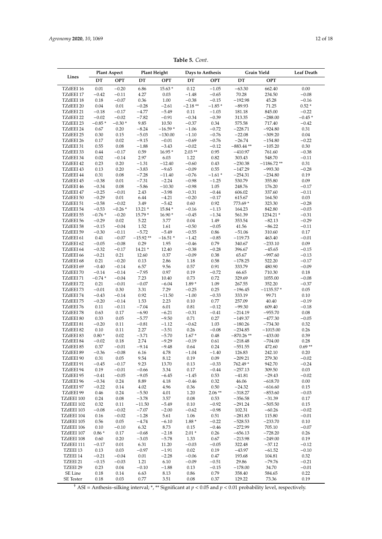| Table 5. Cont. |
|----------------|
|                |

<span id="page-11-0"></span>

|                          | <b>Plant Aspect</b> |                    | <b>Plant Height</b> |                        | Days to Anthesis     |                     |                        | Grain Yield               | Leaf Death            |
|--------------------------|---------------------|--------------------|---------------------|------------------------|----------------------|---------------------|------------------------|---------------------------|-----------------------|
| Lines                    | DT                  | <b>OPT</b>         | DT                  | OPT                    | DT                   | OPT                 | DT                     | <b>OPT</b>                |                       |
| TZdEEI 16                | 0.01                | $-0.20$            | 6.86                | 15.63 *                | 0.12                 | $-1.05$             | $-63.30$               | 662.40                    | $0.00\,$              |
| TZdEEI 17                | $-0.42$             | $-0.11$            | 4.27                | $0.03\,$               | $-1.48$              | $-0.65$             | 70.28                  | 234.50                    | $-0.08$               |
| TZdEEI 18<br>TZdEEI 20   | 0.18<br>0.04        | $-0.07$<br>0.01    | 0.36<br>$-0.28$     | 1.00<br>$-2.61$        | $-0.38$<br>$-2.18**$ | $-0.15$<br>$-1.85*$ | $-192.98$<br>$-89.93$  | 45.28<br>71.25            | $-0.16$<br>$0.52\,^*$ |
| TZdEEI 21                | $-0.18$             | $-0.17$            | $-4.77$             | $-5.49$                | 0.11                 | $-1.03$             | 181.18                 | 845.00                    | $-0.22$               |
| TZdEEI 22                | $-0.02$             | $-0.02$            | $-7.82$             | $-0.91$                | $-0.34$              | $-0.39$             | 313.35                 | $-288.00$                 | $-0.45*$              |
| TZdEEI 23                | $-0.85*$            | $-0.30*$           | 9.85                | 10.50                  | $-0.37$              | 0.34                | 575.58                 | 717.40                    | $-0.42$               |
| TZdEEI 24<br>TZdEEI 25   | 0.67                | 0.20<br>0.15       | $-8.24$<br>$-5.03$  | $-16.59*$<br>$-130.00$ | $-1.06$<br>$-1.10$   | $-0.72$<br>$-0.76$  | $-228.71$<br>$-22.08$  | $-924.80$<br>$-309.20$    | 0.31<br>$0.04\,$      |
| TZdEEI 26                | 0.30<br>0.17        | $0.02\,$           | $-9.15$             | $-0.01$                | $-0.69$              | $-0.76$             | $-26.74$               | $-154.80$                 | $-0.22$               |
| TZdEEI 31                | 0.55                | 0.08               | $-1.88$             | $-3.43$                | $-0.02$              | $-0.12$             | $-883.44**$            | $-105.20$                 | $0.30\,$              |
| TZdEEI 33                | 0.44                | $-0.17$            | 0.59                | $16.95*$               | $2.03**$             | 0.95                | $-410.97$              | 761.60                    | $-0.38$               |
| TZdEEI 34                | 0.02                | $-0.14$            | 2.97                | 6.03                   | 1.22                 | 0.82                | 303.43                 | 548.70                    | $-0.11$               |
| TZdEEI 42<br>TZdEEI 43   | 0.23<br>0.13        | 0.20<br>0.20       | $-1.31$<br>$-3.83$  | $-12.40$<br>$-9.65$    | $-0.60$<br>$-0.09$   | 0.43<br>0.55        | $-230.38$<br>$-147.29$ | $-1186.72**$<br>$-993.30$ | 0.31<br>$-0.28$       |
| TZdEEI 44                | 0.31                | 0.08               | $-7.28$             | $-11.40$               | $-0.76$              | $-1.61*$            | $-254.31$              | $-234.80$                 | $0.19\,$              |
| TZdEEI 45                | $-0.38$             | 0.01               | $-7.31$             | $-2.24$                | $-0.98$              | $-1.25$             | 530.79                 | 355.80                    | $0.09\,$              |
| TZdEEI 46                | $-0.34$             | 0.08               | $-5.86$             | $-10.30$               | $-0.98$              | 1.05                | 248.76                 | 176.20                    | $-0.17$               |
| TZdEEI 47<br>TZdEEI 50   | $-0.25$<br>$-0.29$  | $-0.01$<br>0.01    | 2.43<br>6.44        | $-3.98$<br>$-4.21$     | $-0.31$<br>$-0.20$   | $-0.44$<br>$-0.17$  | 606.02                 | 337.60<br>164.50          | $-0.11$<br>0.03       |
| TZdEEI 51                | $-0.58$             | $-0.02$            | 3.49                | $-5.42$                | $0.60\,$             | 0.92                | 615.67<br>773.69 *     | 323.30                    | $-0.28$               |
| TZdEEI 54                | $-0.53$             | $-0.26*$           | $13.21*$            | 15.84 *                | $-0.16$              | $-1.13$             | 164.23                 | 842.80                    | $-0.03$               |
| TZdEEI 55                | $-0.76*$            | $-0.20$            | 15.79 *             | $16.90*$               | $-0.45$              | $-1.34$             | 561.39                 | 1234.21 *                 | $-0.31$               |
| TZdEEI 56                | $-0.29$             | 0.02               | 5.22                | 3.77                   | 0.04                 | 1.49                | 353.54                 | $-82.13$                  | $-0.29$               |
| TZdEEI 58<br>TZdEEI 59   | $-0.15$<br>$-0.30$  | $-0.04$<br>$-0.11$ | 1.52<br>$-5.72$     | 1.61<br>$-5.49$        | $-0.50$<br>$-0.55$   | $-0.05$<br>0.86     | 41.56<br>$-51.06$      | $-86.22$<br>310.60        | $-0.11$<br>$0.17\,$   |
| TZdEEI 61                | 0.41                | $-0.07$            | $-15.92**$          | $-16.51*$              | $-1.42$              | $-0.85$             | $-119.73$              | 463.40                    | $-0.01$               |
| TZdEEI 62                | $-0.05$             | $-0.08$            | 0.29                | 1.95                   | $-0.46$              | 0.79                | 340.67                 | $-233.10$                 | $0.09\,$              |
| TZdEEI 64                | $-0.32$             | $-0.17$            | $14.21*$            | 12.40                  | $-0.38$              | $-0.28$             | 396.67                 | $-45.65$                  | $-0.15$               |
| TZdEEI 66                | $-0.21$             | 0.21               | 12.60               | 0.37                   | $-0.09$              | $0.38\,$            | 65.67                  | $-997.60$                 | $-0.13$               |
| TZdEEI 68<br>TZdEEI 69   | 0.21<br>$-0.40$     | $-0.20$<br>$-0.14$ | 0.13<br>6.57        | 2.86<br>9.56           | 1.18<br>0.57         | 0.58<br>$\rm 0.91$  | $-178.25$<br>333.79    | 522.20<br>480.90          | $-0.17$<br>$-0.09$    |
| TZdEEI 70                | $-0.14$             | $-0.14$            | $-7.95$             | 0.97                   | $0.19\,$             | $-0.72$             | 66.65                  | 710.30                    | $0.18\,$              |
| TZdEEI 71                | $-0.74*$            | $-0.04$            | 7.23                | 10.40                  | 0.73                 | 0.72                | 329.69                 | 1055.00                   | $-0.08$               |
| TZdEEI 72                | 0.21                | $-0.01$            | $-0.07$             | $-6.04$                | $1.89*$              | 1.09                | 267.55                 | 352.20                    | $-0.37$               |
| TZdEEI 73                | $-0.01$             | $0.30\,$           | 3.31                | 7.29                   | $-0.25$              | 0.25                | $-196.45$              | $-1135.57*$<br>99.71      | $0.05\,$              |
| TZdEEI 74<br>TZdEEI 75   | $-0.43$<br>$-0.20$  | $-0.14$<br>$-0.14$ | 0.92<br>1.53        | $-11.50$<br>2.23       | $-1.00$<br>$0.10\,$  | $-0.33$<br>0.77     | 333.19<br>257.09       | 40.40                     | 0.10<br>$-0.19$       |
| TZdEEI 76                | 0.11                | $-0.11$            | $-7.04$             | 6.01                   | $\rm 0.81$           | $-0.12$             | $-99.30$               | 609.40                    | $-0.18$               |
| TZdEEI 78                | 0.63                | 0.17               | $-6.90$             | $-6.21$                | $-0.31$              | $-0.41$             | $-214.19$              | $-955.70$                 | $0.08\,$              |
| TZdEEI 80                | 0.33                | 0.05               | $-5.77$             | $-9.50$                | $0.71\,$             | 0.27                | $-149.37$              | $-477.30$                 | $-0.05$               |
| TZdEEI 81<br>TZdEEI 82   | $-0.20$<br>0.10     | 0.11<br>0.11       | $-0.81$<br>2.27     | $-1.12$<br>$-3.51$     | $-0.62$<br>$0.26\,$  | 1.03<br>$-0.08$     | $-180.26$<br>$-234.85$ | $-734.30$<br>$-1015.00$   | 0.32<br>0.26          |
| TZdEEI 83                | $0.80*$             | 0.02               | $-3.71$             | $-5.70$                | $1.67*$              | 0.48                | $-870.26**$            | $-433.00$                 | 0.39                  |
| TZdEEI 84                | $-0.02$             | 0.18               | 2.74                | $-9.29$                | $-0.19$              | 0.61                | $-218.48$              | $-704.00$                 | 0.28                  |
| TZdEEI 85                | 0.37                | $-0.01$            | $-9.14$             | $-9.48$                | 0.64                 | 0.24                | $-551.55$              | 472.60                    | $0.69**$              |
| TZdEEI 89                | $-0.36$             | $-0.08$            | 6.16                | 4.78                   | $-1.04$              | $-1.40$             | 126.83                 | 242.10                    | 0.20                  |
| TZdEEI 90<br>TZdEEI 91   | 0.31<br>$-0.45$     | 0.05<br>$-0.17$    | 9.54<br>9.23        | 8.12<br>13.70          | 0.19<br>0.13         | 0.09<br>$-0.33$     | $-209.21$<br>762.49 *  | 279.30<br>942.70          | $-0.02$<br>$-0.24$    |
| TZdEEI 94                | 0.19                | $-0.01$            | $-0.66$             | 3.34                   | 0.17                 | $-0.44$             | $-257.13$              | 309.50                    | 0.03                  |
| TZdEEI 95                | $-0.41$             | $-0.05$            | $-9.05$             | $-6.45$                | $-1.45$              | 0.53                | $-41.81$               | $-29.43$                  | $-0.02$               |
| TZdEEI 96                | $-0.34$             | 0.24               | 8.89                | 4.18                   | $-0.46$              | 0.32                | 46.06                  | $-618.70$                 | $0.00\,$              |
| TZdEEI 97                | $-0.22$             | 0.14               | 4.02                | 4.96                   | 0.36                 | 0.50                | $-24.32$               | $-616.60$                 | 0.15                  |
| TZdEEI 99<br>TZdEEI 100  | 0.46<br>0.24        | 0.24<br>0.08       | $-5.50$<br>$-3.78$  | 4.01<br>3.57           | 1.20<br>$0.08\,$     | $2.06**$<br>0.53    | $-318.27$<br>$-356.58$ | $-853.60$<br>$-31.39$     | $-0.03$<br>0.17       |
| TZdEEI 102               | 0.32                | 0.11               | $-11.50$            | $-5.49$                | 0.10                 | $-0.92$             | $-291.24$              | $-505.50$                 | 0.15                  |
| TZdEEI 103               | $-0.08$             | $-0.02$            | $-7.07$             | $-2.00$                | $-0.62$              | $-0.98$             | 102.31                 | $-60.26$                  | $-0.02$               |
| TZdEEI 104               | 0.16                | $-0.02$            | $-1.28$             | 5.61                   | 1.06                 | $0.51\,$            | $-281.83$              | 115.80                    | $-0.01$               |
| TZdEEI 105               | 0.56                | $0.05\,$           | $-4.74$             | $-6.10$                | $1.88*$              | $-0.22$             | $-528.53$              | $-233.70$                 | 0.10                  |
| TZdEEI 106<br>TZdEEI 107 | 0.10<br>$0.86*$     | $-0.10$<br>0.17    | 6.32<br>$-0.68$     | 8.73<br>$-2.18$        | 0.15<br>$2.01*$      | $-0.46$<br>0.26     | $-272.99$<br>$-656.13$ | 705.10<br>$-728.20$       | $-0.07$<br>0.26       |
| TZdEEI 108               | 0.60                | 0.20               | $-3.03$             | $-5.78$                | 1.33                 | 0.67                | $-213.98$              | $-249.00$                 | 0.19                  |
| TZdEEI 111               | $-0.17$             | 0.01               | 6.31                | 11.20                  | $-0.03$              | $-0.05$             | 322.48                 | $-37.12$                  | $-0.12$               |
| TZEEI 13                 | 0.13                | 0.03               | $-0.97$             | $-1.91$                | 0.02                 | 0.19                | $-43.97$               | $-61.52$                  | $-0.10$               |
| TZEEI 14<br>TZEEI 21     | $-0.21$             | $-0.04$<br>$-0.03$ | 0.01                | $-2.28$                | $-0.06$<br>$-0.09$   | 0.47                | 193.68                 | 104.81<br>$-79.76$        | 0.32<br>$-0.21$       |
| TZEEI 29                 | $-0.15$<br>0.23     | 0.04               | 1.21<br>$-0.10$     | 6.10<br>$-1.88$        | 0.13                 | $-0.51$<br>$-0.15$  | 29.86<br>$-178.00$     | 34.70                     | $-0.01$               |
| SE Line                  | 0.18                | 0.14               | 6.63                | 8.13                   | 0.86                 | 0.79                | 358.40                 | 584.65                    | 0.22                  |
| <b>SE</b> Tester         | 0.18                | 0.03               | 0.77                | 3.51                   | 0.08                 | 0.37                | 129.22                 | 73.36                     | 0.19                  |

† ASI = Anthesis–silking interval; \*, \*\* Significant at *p* < 0.05 and *p* < 0.01 probability level, respectively.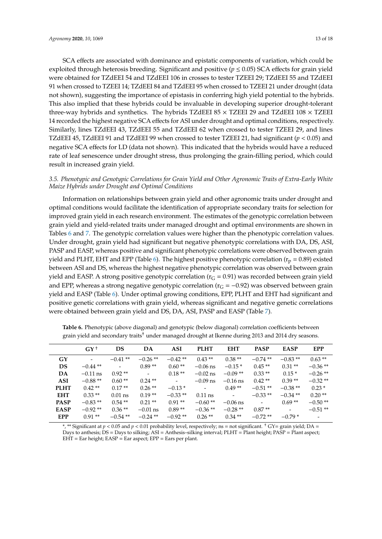SCA effects are associated with dominance and epistatic components of variation, which could be exploited through heterosis breeding. Significant and positive ( $p \le 0.05$ ) SCA effects for grain yield were obtained for TZdEEI 54 and TZdEEI 106 in crosses to tester TZEEI 29; TZdEEI 55 and TZdEEI 91 when crossed to TZEEI 14; TZdEEI 84 and TZdEEI 95 when crossed to TZEEI 21 under drought (data not shown), suggesting the importance of epistasis in conferring high yield potential to the hybrids. This also implied that these hybrids could be invaluable in developing superior drought-tolerant three-way hybrids and synthetics. The hybrids TZdEEI 85  $\times$  TZEEI 29 and TZdEEI 108  $\times$  TZEEI 14 recorded the highest negative SCA effects for ASI under drought and optimal conditions, respectively. Similarly, lines TZdEEI 43, TZdEEI 55 and TZdEEI 62 when crossed to tester TZEEI 29, and lines TZdEEI 45, TZdEEI 91 and TZdEEI 99 when crossed to tester TZEEI 21, had significant (*p* < 0.05) and negative SCA effects for LD (data not shown). This indicated that the hybrids would have a reduced rate of leaf senescence under drought stress, thus prolonging the grain-filling period, which could result in increased grain yield.

## *3.5. Phenotypic and Genotypic Correlations for Grain Yield and Other Agronomic Traits of Extra-Early White Maize Hybrids under Drought and Optimal Conditions*

Information on relationships between grain yield and other agronomic traits under drought and optimal conditions would facilitate the identification of appropriate secondary traits for selection for improved grain yield in each research environment. The estimates of the genotypic correlation between grain yield and yield-related traits under managed drought and optimal environments are shown in Tables [6](#page-12-0) and [7.](#page-13-0) The genotypic correlation values were higher than the phenotypic correlation values. Under drought, grain yield had significant but negative phenotypic correlations with DA, DS, ASI, PASP and EASP, whereas positive and significant phenotypic correlations were observed between grain yield and PLHT, EHT and EPP (Table [6\)](#page-12-0). The highest positive phenotypic correlation ( $r_p = 0.89$ ) existed between ASI and DS, whereas the highest negative phenotypic correlation was observed between grain yield and EASP. A strong positive genotypic correlation  $(r_G = 0.91)$  was recorded between grain yield and EPP, whereas a strong negative genotypic correlation ( $r<sub>G</sub> = -0.92$ ) was observed between grain yield and EASP (Table [6\)](#page-12-0). Under optimal growing conditions, EPP, PLHT and EHT had significant and positive genetic correlations with grain yield, whereas significant and negative genetic correlations were obtained between grain yield and DS, DA, ASI, PASP and EASP (Table [7\)](#page-13-0).

|             | $GY^+$     | DS                       | DA             | <b>ASI</b>               | <b>PLHT</b>              | <b>EHT</b>               | <b>PASP</b>              | <b>EASP</b> | <b>EPP</b> |
|-------------|------------|--------------------------|----------------|--------------------------|--------------------------|--------------------------|--------------------------|-------------|------------|
| GY          |            | $-0.41**$                | $-0.26**$      | $-0.42**$                | $0.43**$                 | $0.38**$                 | $-0.74$ **               | $-0.83**$   | $0.63**$   |
| DS.         | $-0.44$ ** | $\overline{\phantom{a}}$ | $0.89**$       | $0.60**$                 | $-0.06$ ns               | $-0.15*$                 | $0.45**$                 | $0.31**$    | $-0.36**$  |
| DA          | $-0.11$ ns | $0.92**$                 | $\blacksquare$ | $0.18**$                 | $-0.02$ ns               | $-0.09**$                | $0.33**$                 | $0.15*$     | $-0.26$ ** |
| ASI         | $-0.88**$  | $0.60**$                 | $0.24**$       | $\overline{\phantom{a}}$ | $-0.09$ ns               | $-0.16$ ns               | $0.42**$                 | $0.39**$    | $-0.32**$  |
| <b>PLHT</b> | $0.42**$   | $0.17**$                 | $0.26**$       | $-0.13*$                 | $\overline{\phantom{a}}$ | $0.49**$                 | $-0.51**$                | $-0.38**$   | $0.23*$    |
| <b>EHT</b>  | $0.33**$   | $0.01$ ns                | $0.19**$       | $-0.33**$                | $0.11$ ns                | $\overline{\phantom{a}}$ | $-0.33**$                | $-0.34**$   | $0.20**$   |
| <b>PASP</b> | $-0.83**$  | $0.54**$                 | $0.21**$       | $0.91**$                 | $-0.60**$                | $-0.06$ ns               | $\overline{\phantom{a}}$ | $0.69**$    | $-0.50**$  |
| <b>EASP</b> | $-0.92**$  | $0.36**$                 | $-0.01$ ns     | $0.89**$                 | $-0.36**$                | $-0.28**$                | $0.87**$                 | $\sim$      | $-0.51**$  |
| <b>EPP</b>  | $0.91**$   | $-0.54**$                | $-0.24$ **     | $-0.92**$                | $0.26**$                 | $0.34**$                 | $-0.72**$                | $-0.79*$    |            |

<span id="page-12-0"></span>**Table 6.** Phenotypic (above diagonal) and genotypic (below diagonal) correlation coefficients between grain yield and secondary traits† under managed drought at Ikenne during 2013 and 2014 dry seasons.

\*, \*\* Significant at *p* < 0.05 and *p* < 0.01 probability level, respectively; ns = not significant. † GY= grain yield; DA = Days to anthesis; DS = Days to silking; ASI = Anthesis–silking interval; PLHT = Plant height; PASP = Plant aspect;  $EHT = Ear height$ ;  $EASP = Ear$  aspect;  $EPP = Ear$  plant.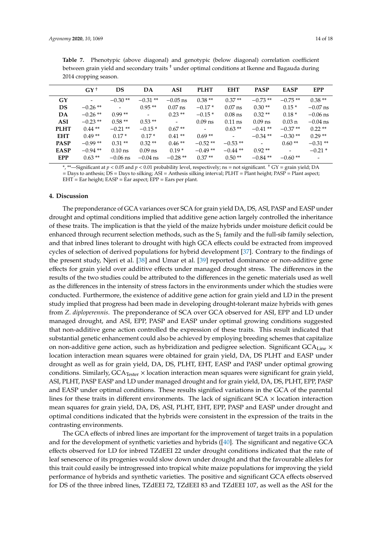| ×<br>۰,<br>- 1<br>. . |  |
|-----------------------|--|
|-----------------------|--|

|             | $GY^+$                   | DS                       | DA         | ASI        | <b>PLHT</b> | <b>EHT</b> | <b>PASP</b>  | <b>EASP</b>      | <b>EPP</b>               |
|-------------|--------------------------|--------------------------|------------|------------|-------------|------------|--------------|------------------|--------------------------|
| GY          | $\overline{\phantom{a}}$ | $-0.30**$                | $-0.31**$  | $-0.05$ ns | $0.38**$    | $0.37**$   | $-0.73**$    | $-0.75**$        | $0.38**$                 |
| <b>DS</b>   | $-0.26**$                | $\overline{\phantom{a}}$ | $0.95**$   | $0.07$ ns  | $-0.17*$    | $0.07$ ns  | $0.30**$     | $0.15*$          | $-0.07$ ns               |
| DA          | $-0.26**$                | $0.99**$                 | $\sim$     | $0.23**$   | $-0.15*$    | $0.08$ ns  | $0.32**$     | $0.18*$          | $-0.06$ ns               |
| <b>ASI</b>  | $-0.23**$                | $0.58**$                 | $0.53**$   | $\sim$     | $0.09$ ns   | $0.11$ ns  | $0.09$ ns    | $0.03 \text{ n}$ | $-0.04$ ns               |
| <b>PLHT</b> | $0.44$ **                | $-0.21**$                | $-0.15*$   | $0.67**$   | $\sim$      | $0.63**$   | $-0.41**$    | $-0.37**$        | $0.22**$                 |
| <b>EHT</b>  | $0.49**$                 | $0.17*$                  | $0.17*$    | $0.41**$   | $0.69**$    | $\sim$     | $-0.34$ **   | $-0.30**$        | $0.29**$                 |
| <b>PASP</b> | $-0.99**$                | $0.31**$                 | $0.32**$   | $0.46**$   | $-0.52**$   | $-0.53**$  | $\mathbf{r}$ | $0.60**$         | $-0.31**$                |
| <b>EASP</b> | $-0.94**$                | $0.10$ ns                | $0.09$ ns  | $0.19*$    | $-0.49**$   | $-0.44$ ** | $0.92**$     |                  | $-0.21*$                 |
| <b>EPP</b>  | $0.63**$                 | $-0.06$ ns               | $-0.04$ ns | $-0.28**$  | $0.37**$    | $0.50**$   | $-0.84**$    | $-0.60**$        | $\overline{\phantom{0}}$ |

<span id="page-13-0"></span>**Table 7.** Phenotypic (above diagonal) and genotypic (below diagonal) correlation coefficient between grain yield and secondary traits † under optimal conditions at Ikenne and Bagauda during 2014 cropping season.

\*, \*\*—Significant at *p* < 0.05 and *p* < 0.01 probability level, respectively; ns = not significant. † GY = grain yield; DA = Days to anthesis; DS = Days to silking; ASI = Anthesis silking interval; PLHT = Plant height; PASP = Plant aspect;  $EHT = Ear height$ ;  $EASP = Ear$  aspect;  $EPP = Ear$  per plant.

## **4. Discussion**

The preponderance of GCA variances over SCA for grain yield DA, DS, ASI, PASP and EASP under drought and optimal conditions implied that additive gene action largely controlled the inheritance of these traits. The implication is that the yield of the maize hybrids under moisture deficit could be enhanced through recurrent selection methods, such as the  $S_1$  family and the full-sib family selection, and that inbred lines tolerant to drought with high GCA effects could be extracted from improved cycles of selection of derived populations for hybrid development [\[37\]](#page-17-0). Contrary to the findings of the present study, Njeri et al. [\[38\]](#page-17-1) and Umar et al. [\[39\]](#page-17-2) reported dominance or non-additive gene effects for grain yield over additive effects under managed drought stress. The differences in the results of the two studies could be attributed to the differences in the genetic materials used as well as the differences in the intensity of stress factors in the environments under which the studies were conducted. Furthermore, the existence of additive gene action for grain yield and LD in the present study implied that progress had been made in developing drought-tolerant maize hybrids with genes from *Z*. *diploperennis*. The preponderance of SCA over GCA observed for ASI, EPP and LD under managed drought, and ASI, EPP, PASP and EASP under optimal growing conditions suggested that non-additive gene action controlled the expression of these traits. This result indicated that substantial genetic enhancement could also be achieved by employing breeding schemes that capitalize on non-additive gene action, such as hybridization and pedigree selection. Significant GCA<sub>Line</sub> × location interaction mean squares were obtained for grain yield, DA, DS PLHT and EASP under drought as well as for grain yield, DA, DS, PLHT, EHT, EASP and PASP under optimal growing conditions. Similarly,  $GCA<sub>Tester</sub> \times$  location interaction mean squares were significant for grain yield, ASI, PLHT, PASP EASP and LD under managed drought and for grain yield, DA, DS, PLHT, EPP, PASP and EASP under optimal conditions. These results signified variations in the GCA of the parental lines for these traits in different environments. The lack of significant  $SCA \times$  location interaction mean squares for grain yield, DA, DS, ASI, PLHT, EHT, EPP, PASP and EASP under drought and optimal conditions indicated that the hybrids were consistent in the expression of the traits in the contrasting environments.

The GCA effects of inbred lines are important for the improvement of target traits in a population and for the development of synthetic varieties and hybrids ([\[40\]](#page-17-3). The significant and negative GCA effects observed for LD for inbred TZdEEI 22 under drought conditions indicated that the rate of leaf senescence of its progenies would slow down under drought and that the favourable alleles for this trait could easily be introgressed into tropical white maize populations for improving the yield performance of hybrids and synthetic varieties. The positive and significant GCA effects observed for DS of the three inbred lines, TZdEEI 72, TZdEEI 83 and TZdEEI 107, as well as the ASI for the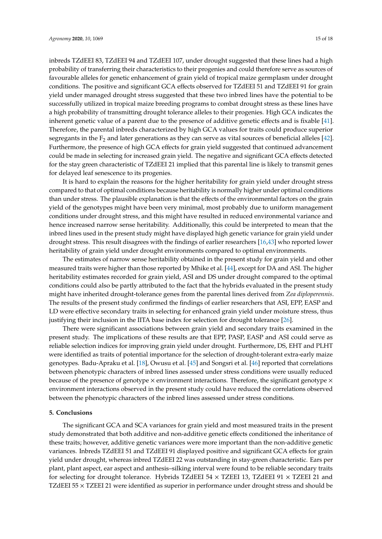inbreds TZdEEI 83, TZdEEI 94 and TZdEEI 107, under drought suggested that these lines had a high probability of transferring their characteristics to their progenies and could therefore serve as sources of favourable alleles for genetic enhancement of grain yield of tropical maize germplasm under drought conditions. The positive and significant GCA effects observed for TZdEEI 51 and TZdEEI 91 for grain yield under managed drought stress suggested that these two inbred lines have the potential to be successfully utilized in tropical maize breeding programs to combat drought stress as these lines have a high probability of transmitting drought tolerance alleles to their progenies. High GCA indicates the inherent genetic value of a parent due to the presence of additive genetic effects and is fixable [\[41\]](#page-17-4). Therefore, the parental inbreds characterized by high GCA values for traits could produce superior segregants in the  $F_2$  and later generations as they can serve as vital sources of beneficial alleles [\[42\]](#page-17-5). Furthermore, the presence of high GCA effects for grain yield suggested that continued advancement could be made in selecting for increased grain yield. The negative and significant GCA effects detected for the stay green characteristic of TZdEEI 21 implied that this parental line is likely to transmit genes for delayed leaf senescence to its progenies.

It is hard to explain the reasons for the higher heritability for grain yield under drought stress compared to that of optimal conditions because heritability is normally higher under optimal conditions than under stress. The plausible explanation is that the effects of the environmental factors on the grain yield of the genotypes might have been very minimal, most probably due to uniform management conditions under drought stress, and this might have resulted in reduced environmental variance and hence increased narrow sense heritability. Additionally, this could be interpreted to mean that the inbred lines used in the present study might have displayed high genetic variance for grain yield under drought stress. This result disagrees with the findings of earlier researchers [\[16,](#page-16-1)[43\]](#page-17-6) who reported lower heritability of grain yield under drought environments compared to optimal environments.

The estimates of narrow sense heritability obtained in the present study for grain yield and other measured traits were higher than those reported by Mhike et al. [\[44\]](#page-17-7), except for DA and ASI. The higher heritability estimates recorded for grain yield, ASI and DS under drought compared to the optimal conditions could also be partly attributed to the fact that the hybrids evaluated in the present study might have inherited drought-tolerance genes from the parental lines derived from *Zea diploperennis*. The results of the present study confirmed the findings of earlier researchers that ASI, EPP, EASP and LD were effective secondary traits in selecting for enhanced grain yield under moisture stress, thus justifying their inclusion in the IITA base index for selection for drought tolerance [\[26\]](#page-16-11).

There were significant associations between grain yield and secondary traits examined in the present study. The implications of these results are that EPP, PASP, EASP and ASI could serve as reliable selection indices for improving grain yield under drought. Furthermore, DS, EHT and PLHT were identified as traits of potential importance for the selection of drought-tolerant extra-early maize genotypes. Badu-Apraku et al. [\[18\]](#page-16-3), Owusu et al. [\[45\]](#page-17-8) and Songsri et al. [\[46\]](#page-17-9) reported that correlations between phenotypic characters of inbred lines assessed under stress conditions were usually reduced because of the presence of genotype  $\times$  environment interactions. Therefore, the significant genotype  $\times$ environment interactions observed in the present study could have reduced the correlations observed between the phenotypic characters of the inbred lines assessed under stress conditions.

### **5. Conclusions**

The significant GCA and SCA variances for grain yield and most measured traits in the present study demonstrated that both additive and non-additive genetic effects conditioned the inheritance of these traits; however, additive genetic variances were more important than the non-additive genetic variances. Inbreds TZdEEI 51 and TZdEEI 91 displayed positive and significant GCA effects for grain yield under drought, whereas inbred TZdEEI 22 was outstanding in stay-green characteristic. Ears per plant, plant aspect, ear aspect and anthesis–silking interval were found to be reliable secondary traits for selecting for drought tolerance. Hybrids TZdEEI 54  $\times$  TZEEI 13, TZdEEI 91  $\times$  TZEEI 21 and TZdEEI 55 × TZEEI 21 were identified as superior in performance under drought stress and should be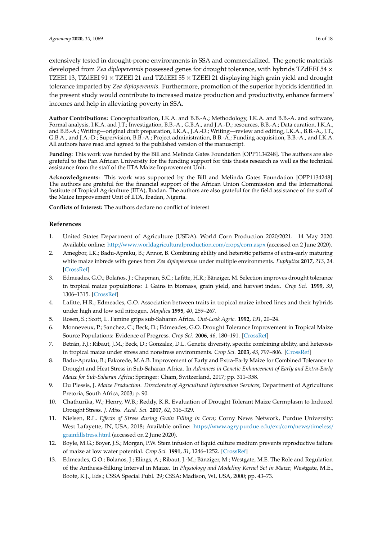extensively tested in drought-prone environments in SSA and commercialized. The genetic materials developed from *Zea diploperennis* possessed genes for drought tolerance, with hybrids TZdEEI 54 × TZEEI 13, TZdEEI 91  $\times$  TZEEI 21 and TZdEEI 55  $\times$  TZEEI 21 displaying high grain yield and drought tolerance imparted by *Zea diploperennis*. Furthermore, promotion of the superior hybrids identified in the present study would contribute to increased maize production and productivity, enhance farmers' incomes and help in alleviating poverty in SSA.

**Author Contributions:** Conceptualization, I.K.A. and B.B.-A.; Methodology, I.K.A. and B.B.-A. and software, Formal analysis, I.K.A. and J.T.; Investigation, B.B.-A., G.B.A., and J.A.-D.; resources, B.B.-A.; Data curation, I.K.A., and B.B.-A.; Writing—original draft preparation, I.K.A., J.A.-D.; Writing—review and editing, I.K.A., B.B.-A., J.T., G.B.A., and J.A.-D.; Supervision, B.B.-A.; Project administration, B.B.-A.; Funding acquisition, B.B.-A., and I.K.A. All authors have read and agreed to the published version of the manuscript.

**Funding:** This work was funded by the Bill and Melinda Gates Foundation [OPP1134248]. The authors are also grateful to the Pan African University for the funding support for this thesis research as well as the technical assistance from the staff of the IITA Maize Improvement Unit.

**Acknowledgments:** This work was supported by the Bill and Melinda Gates Foundation [OPP1134248]. The authors are grateful for the financial support of the African Union Commission and the International Institute of Tropical Agriculture (IITA), Ibadan. The authors are also grateful for the field assistance of the staff of the Maize Improvement Unit of IITA, Ibadan, Nigeria.

**Conflicts of Interest:** The authors declare no conflict of interest

## **References**

- <span id="page-15-0"></span>1. United States Department of Agriculture (USDA). World Corn Production 2020/2021. 14 May 2020. Available online: http://[www.worldagriculturalproduction.com](http://www.worldagriculturalproduction.com/crops/corn.aspx)/crops/corn.aspx (accessed on 2 June 2020).
- <span id="page-15-1"></span>2. Amegbor, I.K.; Badu-Apraku, B.; Annor, B. Combining ability and heterotic patterns of extra-early maturing white maize inbreds with genes from *Zea diploperennis* under multiple environments. *Euphytica* **2017**, *213*, 24. [\[CrossRef\]](http://dx.doi.org/10.1007/s10681-016-1823-y)
- <span id="page-15-2"></span>3. Edmeades, G.O.; Bolaños, J.; Chapman, S.C.; Lafitte, H.R.; Bänziger, M. Selection improves drought tolerance in tropical maize populations: I. Gains in biomass, grain yield, and harvest index. *Crop Sci.* **1999**, *39*, 1306–1315. [\[CrossRef\]](http://dx.doi.org/10.2135/cropsci1999.3951306x)
- <span id="page-15-3"></span>4. Lafitte, H.R.; Edmeades, G.O. Association between traits in tropical maize inbred lines and their hybrids under high and low soil nitrogen. *Maydica* **1995**, *40*, 259–267.
- <span id="page-15-4"></span>5. Rosen, S.; Scott, L. Famine grips sub-Saharan Africa. *Out-Look Agric.* **1992**, *191*, 20–24.
- <span id="page-15-5"></span>6. Monneveux, P.; Sanchez, C.; Beck, D.; Edmeades, G.O. Drought Tolerance Improvement in Tropical Maize Source Populations: Evidence of Progress. *Crop Sci.* **2006**, *46*, 180–191. [\[CrossRef\]](http://dx.doi.org/10.2135/cropsci2005.04-0034)
- <span id="page-15-6"></span>7. Betrán, F.J.; Ribaut, J.M.; Beck, D.; Gonzalez, D.L. Genetic diversity, specific combining ability, and heterosis in tropical maize under stress and nonstress environments. *Crop Sci.* **2003**, *43*, 797–806. [\[CrossRef\]](http://dx.doi.org/10.2135/cropsci2003.7970)
- <span id="page-15-7"></span>8. Badu-Apraku, B.; Fakorede, M.A.B. Improvement of Early and Extra-Early Maize for Combined Tolerance to Drought and Heat Stress in Sub-Saharan Africa. In *Advances in Genetic Enhancement of Early and Extra-Early Maize for Sub-Saharan Africa*; Springer: Cham, Switzerland, 2017; pp. 311–358.
- <span id="page-15-8"></span>9. Du Plessis, J. *Maize Production. Directorate of Agricultural Information Services*; Department of Agriculture: Pretoria, South Africa, 2003; p. 90.
- <span id="page-15-9"></span>10. Chathurika, W.; Henry, W.B.; Reddy, K.R. Evaluation of Drought Tolerant Maize Germplasm to Induced Drought Stress. *J. Miss. Acad. Sci.* **2017**, *62*, 316–329.
- <span id="page-15-10"></span>11. Nielsen, R.L. *E*ff*ects of Stress during Grain Filling in Corn*; Corny News Network, Purdue University: West Lafayette, IN, USA, 2018; Available online: https://[www.agry.purdue.edu](https://www.agry.purdue.edu/ext/corn/news/timeless/grainfillstress.html)/ext/corn/news/timeless/ [grainfillstress.html](https://www.agry.purdue.edu/ext/corn/news/timeless/grainfillstress.html) (accessed on 2 June 2020).
- <span id="page-15-11"></span>12. Boyle, M.G.; Boyer, J.S.; Morgan, P.W. Stem infusion of liquid culture medium prevents reproductive failure of maize at low water potential. *Crop Sci.* **1991**, *31*, 1246–1252. [\[CrossRef\]](http://dx.doi.org/10.2135/cropsci1991.0011183X003100050033x)
- <span id="page-15-12"></span>13. Edmeades, G.O.; Bolaños, J.; Elings, A.; Ribaut, J.-M.; Bänziger, M.; Westgate, M.E. The Role and Regulation of the Anthesis-Silking Interval in Maize. In *Physiology and Modeling Kernel Set in Maize*; Westgate, M.E., Boote, K.J., Eds.; CSSA Special Publ. 29; CSSA: Madison, WI, USA, 2000; pp. 43–73.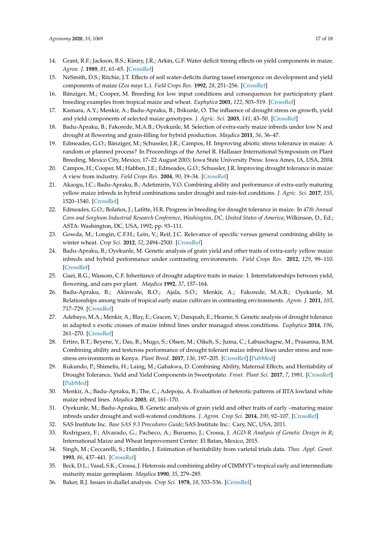- <span id="page-16-0"></span>14. Grant, R.F.; Jackson, B.S.; Kiniry, J.R.; Arkin, G.F. Water deficit timing effects on yield components in maize. *Agron. J.* **1989**, *81*, 61–65. [\[CrossRef\]](http://dx.doi.org/10.2134/agronj1989.00021962008100010011x)
- 15. NeSmith, D.S.; Ritchie, J.T. Effects of soil water-deficits during tassel emergence on development and yield components of maize (*Zea mays* L.). *Field Crops Res.* **1992**, *28*, 251–256. [\[CrossRef\]](http://dx.doi.org/10.1016/0378-4290(92)90044-A)
- <span id="page-16-1"></span>16. Bänziger, M.; Cooper, M. Breeding for low input conditions and consequences for participatory plant breeding examples from tropical maize and wheat. *Euphytica* **2001**, *122*, 503–519. [\[CrossRef\]](http://dx.doi.org/10.1023/A:1017510928038)
- <span id="page-16-2"></span>17. Kamara, A.Y.; Menkir, A.; Badu-Apraku, B.; Ibikunle, O. The influence of drought stress on growth, yield and yield components of selected maize genotypes. *J. Agric. Sci.* **2003**, *141*, 43–50. [\[CrossRef\]](http://dx.doi.org/10.1017/S0021859603003423)
- <span id="page-16-3"></span>18. Badu-Apraku, B.; Fakorede, M.A.B.; Oyekunle, M. Selection of extra-early maize inbreds under low N and drought at flowering and grain-filling for hybrid production. *Maydica* **2011**, *56*, 36–47.
- <span id="page-16-4"></span>19. Edmeades, G.O.; Bänziger, M.; Schussler, J.R.; Campos, H. Improving abiotic stress tolerance in maize: A random or planned process? In Proceedings of the Arnel R. Hallauer International Symposium on Plant Breeding, Mexico City, Mexico, 17–22 August 2003; Iowa State University Press: Iowa Ames, IA, USA, 2004.
- <span id="page-16-5"></span>20. Campos, H.; Cooper, M.; Habben, J.E.; Edmeades, G.O.; Schussler, J.R. Improving drought tolerance in maize: A view from industry. *Field Crops Res.* **2004**, *90*, 19–34. [\[CrossRef\]](http://dx.doi.org/10.1016/j.fcr.2004.07.003)
- <span id="page-16-6"></span>21. Akaogu, I.C.; Badu-Apraku, B.; Adetimirin, V.O. Combining ability and performance of extra-early maturing yellow maize inbreds in hybrid combinations under drought and rain-fed conditions. *J. Agric. Sci.* **2017**, *155*, 1520–1540. [\[CrossRef\]](http://dx.doi.org/10.1017/S0021859617000636)
- <span id="page-16-7"></span>22. Edmeades, G.O.; Bolaños, J.; Lafitte, H.R. Progress in breeding for drought tolerance in maize. In *47th Annual Corn and Sorghum Industrial Research Conference, Washington, DC, United States of America*; Wilkinson, D., Ed.; ASTA: Washington, DC, USA, 1992; pp. 93–111.
- <span id="page-16-8"></span>23. Gowda, M.; Longin, C.F.H.; Lein, V.; Reif, J.C. Relevance of specific versus general combining ability in winter wheat. *Crop Sci.* **2012**, *52*, 2494–2500. [\[CrossRef\]](http://dx.doi.org/10.2135/cropsci2012.04.0245)
- <span id="page-16-9"></span>24. Badu-Apraku, B.; Oyekunle, M. Genetic analysis of grain yield and other traits of extra-early yellow maize inbreds and hybrid performance under contrasting environments. *Field Crops Res.* **2012**, *129*, 99–110. [\[CrossRef\]](http://dx.doi.org/10.1016/j.fcr.2012.01.018)
- <span id="page-16-10"></span>25. Guei, R.G.; Wassom, C.F. Inheritance of drought adaptive traits in maize. I. Interrelationships between yield, flowering, and ears per plant. *Maydica* **1992**, *37*, 157–164.
- <span id="page-16-11"></span>26. Badu-Apraku, B.; Akinwale, R.O.; Ajala, S.O.; Menkir, A.; Fakorede, M.A.B.; Oyekunle, M. Relationships among traits of tropical early maize cultivars in contrasting environments. *Agron. J.* **2011**, *103*, 717–729. [\[CrossRef\]](http://dx.doi.org/10.2134/agronj2010.0484)
- <span id="page-16-12"></span>27. Adebayo, M.A.; Menkir, A.; Blay, E.; Gracen, V.; Danquah, E.; Hearne, S. Genetic analysis of drought tolerance in adapted x exotic crosses of maize inbred lines under managed stress conditions. *Euphytica* **2014**, *196*, 261–270. [\[CrossRef\]](http://dx.doi.org/10.1007/s10681-013-1029-5)
- 28. Ertiro, B.T.; Beyene, Y.; Das, B.; Mugo, S.; Olsen, M.; Oikeh, S.; Juma, C.; Labuschagne, M.; Prasanna, B.M. Combining ability and testcross performance of drought tolerant maize inbred lines under stress and nonstress environments in Kenya. *Plant Breed.* **2017**, *136*, 197–205. [\[CrossRef\]](http://dx.doi.org/10.1111/pbr.12464) [\[PubMed\]](http://www.ncbi.nlm.nih.gov/pubmed/28781399)
- <span id="page-16-13"></span>29. Rukundo, P.; Shimelis, H.; Laing, M.; Gahakwa, D. Combining Ability, Maternal Effects, and Heritability of Drought Tolerance, Yield and Yield Components in Sweetpotato. *Front. Plant Sci.* **2017**, *7*, 1981. [\[CrossRef\]](http://dx.doi.org/10.3389/fpls.2016.01981) [\[PubMed\]](http://www.ncbi.nlm.nih.gov/pubmed/28119702)
- <span id="page-16-14"></span>30. Menkir, A.; Badu-Apraku, B.; The, C.; Adepoju, A. Evaluation of heterotic patterns of IITA lowland white maize inbred lines. *Maydica* **2003**, *48*, 161–170.
- <span id="page-16-15"></span>31. Oyekunle, M.; Badu-Apraku, B. Genetic analysis of grain yield and other traits of early –maturing maize inbreds under drought and well-watered conditions. *J. Agron. Crop Sci.* **2014**, *200*, 92–107. [\[CrossRef\]](http://dx.doi.org/10.1111/jac.12049)
- <span id="page-16-16"></span>32. SAS Institute Inc. *Base SAS 9.3 Procedures Guide*; SAS Institute Inc.: Cary, NC, USA, 2011.
- <span id="page-16-17"></span>33. Rodriguez, F.; Alvarado, G.; Pacheco, A.; Burueno, J.; Crossa, J. *AGD-R Analysis of Genetic Design in R*; International Maize and Wheat Improvement Center: El Batan, Mexico, 2015.
- <span id="page-16-18"></span>34. Singh, M.; Ceccarelli, S.; Hamblin, J. Estimation of heritability from varietal trials data. *Theo. Appl. Genet.* **1993**, *86*, 437–441. [\[CrossRef\]](http://dx.doi.org/10.1007/BF00838558)
- <span id="page-16-19"></span>35. Beck, D.L.; Vasal, S.K.; Crossa, J. Heterosis and combining ability of CIMMYT's tropical early and intermediate maturity maize germplasm. *Maydica* **1990**, *35*, 279–285.
- <span id="page-16-20"></span>36. Baker, R.J. Issues in diallel analysis. *Crop Sci.* **1978**, *18*, 533–536. [\[CrossRef\]](http://dx.doi.org/10.2135/cropsci1978.0011183X001800040001x)